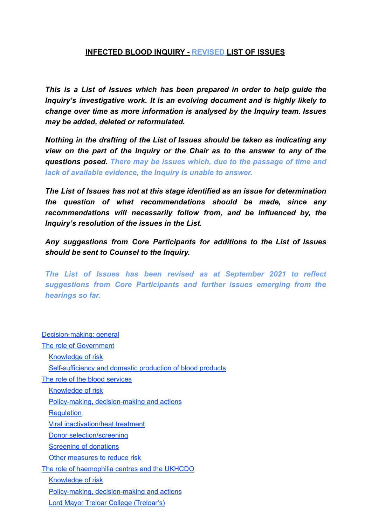## **INFECTED BLOOD INQUIRY - REVISED LIST OF ISSUES**

*This is a List of Issues which has been prepared in order to help guide the Inquiry's investigative work. It is an evolving document and is highly likely to change over time as more information is analysed by the Inquiry team. Issues may be added, deleted or reformulated.*

*Nothing in the drafting of the List of Issues should be taken as indicating any view on the part of the Inquiry or the Chair as to the answer to any of the questions posed. There may be issues which, due to the passage of time and lack of available evidence, the Inquiry is unable to answer.*

*The List of Issues has not at this stage identified as an issue for determination the question of what recommendations should be made, since any recommendations will necessarily follow from, and be influenced by, the Inquiry's resolution of the issues in the List.*

*Any suggestions from Core Participants for additions to the List of Issues should be sent to Counsel to the Inquiry.*

*The List of Issues has been revised as at September 2021 to reflect suggestions from Core Participants and further issues emerging from the hearings so far.*

| Decision-making: general                                          |
|-------------------------------------------------------------------|
| <b>The role of Government</b>                                     |
| <b>Knowledge of risk</b>                                          |
| <b>Self-sufficiency and domestic production of blood products</b> |
| The role of the blood services                                    |
| <b>Knowledge of risk</b>                                          |
| Policy-making, decision-making and actions                        |
| <b>Regulation</b>                                                 |
| Viral inactivation/heat treatment                                 |
| Donor selection/screening                                         |
| <b>Screening of donations</b>                                     |
| Other measures to reduce risk                                     |
| The role of haemophilia centres and the UKHCDO                    |
| Knowledge of risk                                                 |
| Policy-making, decision-making and actions                        |
| Lord Mayor Treloar College (Treloar's)                            |
|                                                                   |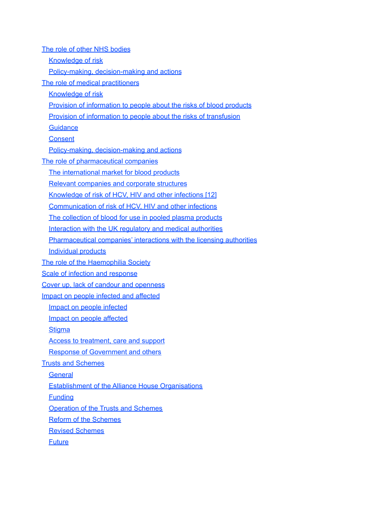<span id="page-1-0"></span>The role of other NHS [bodies](#page-32-0) [Knowledge](#page-32-1) of risk Policy-making, [decision-making](#page-33-0) and actions The role of medical [practitioners](#page-36-0) [Knowledge](#page-36-1) of risk Provision of [information](#page-36-2) to people about the risks of blood products Provision of [information](#page-37-0) to people about the risks of transfusion **[Guidance](#page-37-1) [Consent](#page-38-0)** Policy-making, [decision-making](#page-38-1) and actions The role of [pharmaceutical](#page-44-0) companies The [international](#page-44-1) market for blood products Relevant [companies](#page-44-2) and corporate structures Knowledge of risk of HCV, HIV and other infections [12] [Communication](#page-46-0) of risk of HCV, HIV and other infections The [collection](#page-46-1) of blood for use in pooled plasma products [Interaction](#page-48-0) with the UK regulatory and medical authorities [Pharmaceutical](#page-49-0) companies' interactions with the licensing authorities [Individual](#page-50-0) products The role of the [Haemophilia](#page-55-0) Society Scale of infection and [response](#page-57-0) Cover up, lack of candour and openness Impact on people infected and [affected](#page-66-0) Impact on people [infected](#page-66-1) Impact on people [affected](#page-67-0) **[Stigma](#page-68-0)** Access to [treatment,](#page-69-0) care and support Response of [Government](#page-69-1) and others Trusts and [Schemes](#page-70-0) **[General](#page-70-1)** [Establishment](#page-70-2) of the Alliance House Organisations [Funding](#page-72-0) [Operation](#page-73-0) of the Trusts and Schemes Reform of the [Schemes](#page-77-0) Revised [Schemes](#page-78-0) **[Future](#page-78-1)**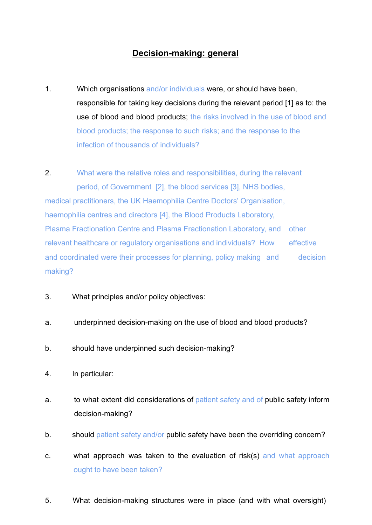## **Decision-making: general**

1. Which organisations and/or individuals were, or should have been, responsible for taking key decisions during the relevant period [1] as to: the use of blood and blood products; the risks involved in the use of blood and blood products; the response to such risks; and the response to the infection of thousands of individuals?

2. What were the relative roles and responsibilities, during the relevant period, of Government [2], the blood services [3], NHS bodies, medical practitioners, the UK Haemophilia Centre Doctors' Organisation, haemophilia centres and directors [4], the Blood Products Laboratory, Plasma Fractionation Centre and Plasma Fractionation Laboratory, and other relevant healthcare or regulatory organisations and individuals? How effective and coordinated were their processes for planning, policy making and decision making?

- 3. What principles and/or policy objectives:
- a. underpinned decision-making on the use of blood and blood products?
- b. should have underpinned such decision-making?
- 4. In particular:
- a. to what extent did considerations of patient safety and of public safety inform decision-making?
- b. should patient safety and/or public safety have been the overriding concern?
- c. what approach was taken to the evaluation of risk(s) and what approach ought to have been taken?
- 5. What decision-making structures were in place (and with what oversight)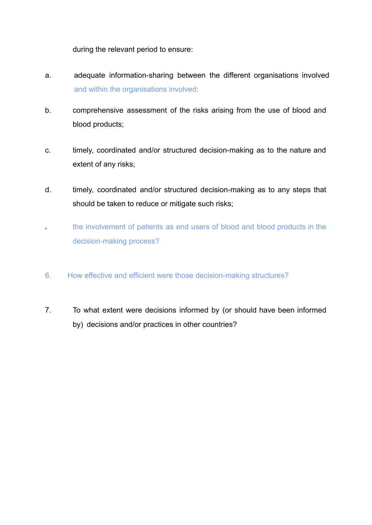during the relevant period to ensure:

- a. adequate information-sharing between the different organisations involved and within the organisations involved;
- b. comprehensive assessment of the risks arising from the use of blood and blood products;
- c. timely, coordinated and/or structured decision-making as to the nature and extent of any risks;
- d. timely, coordinated and/or structured decision-making as to any steps that should be taken to reduce or mitigate such risks;
- the involvement of patients as end users of blood and blood products in the decision-making process?
- 6. How effective and efficient were those decision-making structures?
- 7. To what extent were decisions informed by (or should have been informed by) decisions and/or practices in other countries?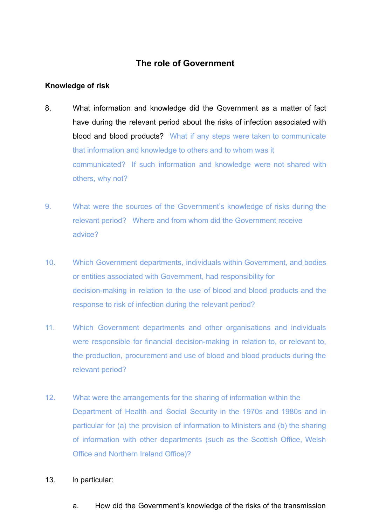# **The role of Government**

## <span id="page-4-1"></span><span id="page-4-0"></span>**Knowledge of risk**

- 8. What information and knowledge did the Government as a matter of fact have during the relevant period about the risks of infection associated with blood and blood products? What if any steps were taken to communicate that information and knowledge to others and to whom was it communicated? If such information and knowledge were not shared with others, why not?
- 9. What were the sources of the Government's knowledge of risks during the relevant period? Where and from whom did the Government receive advice?
- 10. Which Government departments, individuals within Government, and bodies or entities associated with Government, had responsibility for decision-making in relation to the use of blood and blood products and the response to risk of infection during the relevant period?
- 11. Which Government departments and other organisations and individuals were responsible for financial decision-making in relation to, or relevant to, the production, procurement and use of blood and blood products during the relevant period?
- 12. What were the arrangements for the sharing of information within the Department of Health and Social Security in the 1970s and 1980s and in particular for (a) the provision of information to Ministers and (b) the sharing of information with other departments (such as the Scottish Office, Welsh Office and Northern Ireland Office)?
- 13. In particular:
	- a. How did the Government's knowledge of the risks of the transmission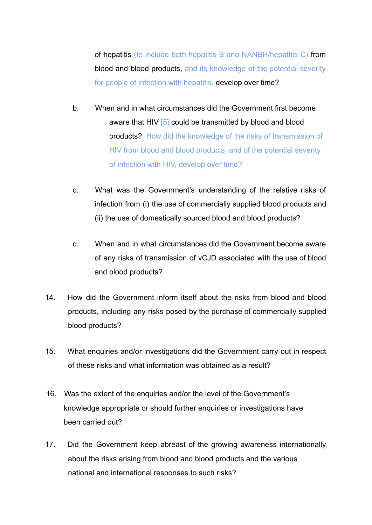of hepatitis (to include both hepatitis B and NANBH/hepatitis C) from blood and blood products, and its knowledge of the potential severity for people of infection with hepatitis, develop over time?

- b. When and in what circumstances did the Government first become aware that HIV [5] could be transmitted by blood and blood products? How did the knowledge of the risks of transmission of HIV from blood and blood products, and of the potential severity of infection with HIV, develop over time?
- c. What was the Government's understanding of the relative risks of infection from (i) the use of commercially supplied blood products and (ii) the use of domestically sourced blood and blood products?
- d. When and in what circumstances did the Government become aware of any risks of transmission of vCJD associated with the use of blood and blood products?
- 14. How did the Government inform itself about the risks from blood and blood products, including any risks posed by the purchase of commercially supplied blood products?
- 15. What enquiries and/or investigations did the Government carry out in respect of these risks and what information was obtained as a result?
- 16. Was the extent of the enquiries and/or the level of the Government's knowledge appropriate or should further enquiries or investigations have been carried out?
- 17. Did the Government keep abreast of the growing awareness internationally about the risks arising from blood and blood products and the various national and international responses to such risks?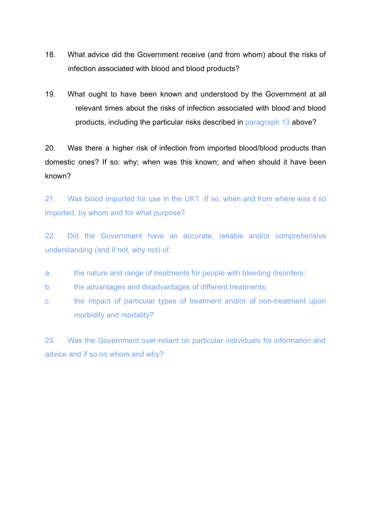- 18. What advice did the Government receive (and from whom) about the risks of infection associated with blood and blood products?
- 19. What ought to have been known and understood by the Government at all relevant times about the risks of infection associated with blood and blood products, including the particular risks described in paragraph 13 above?

20. Was there a higher risk of infection from imported blood/blood products than domestic ones? If so: why; when was this known; and when should it have been known?

21. Was blood imported for use in the UK? If so, when and from where was it so imported, by whom and for what purpose?

22. Did the Government have an accurate, reliable and/or comprehensive understanding (and if not, why not) of:

- a. the nature and range of treatments for people with bleeding disorders;
- b. the advantages and disadvantages of different treatments;
- c. the impact of particular types of treatment and/or of non-treatment upon morbidity and mortality?

23. Was the Government over-reliant on particular individuals for information and advice and if so on whom and why?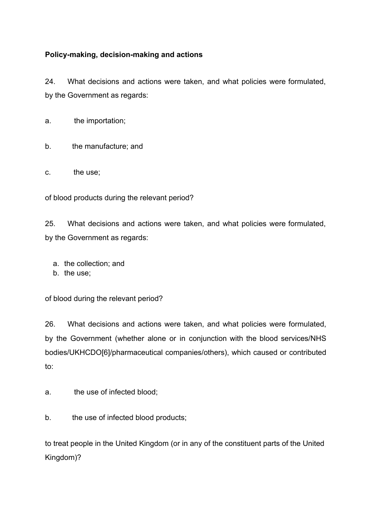## **Policy-making, decision-making and actions**

24. What decisions and actions were taken, and what policies were formulated, by the Government as regards:

a. the importation;

b. the manufacture; and

c. the use;

of blood products during the relevant period?

25. What decisions and actions were taken, and what policies were formulated, by the Government as regards:

a. the collection; and

b. the use;

of blood during the relevant period?

26. What decisions and actions were taken, and what policies were formulated, by the Government (whether alone or in conjunction with the blood services/NHS bodies/UKHCDO[6]/pharmaceutical companies/others), which caused or contributed to:

a. the use of infected blood;

b. the use of infected blood products;

to treat people in the United Kingdom (or in any of the constituent parts of the United Kingdom)?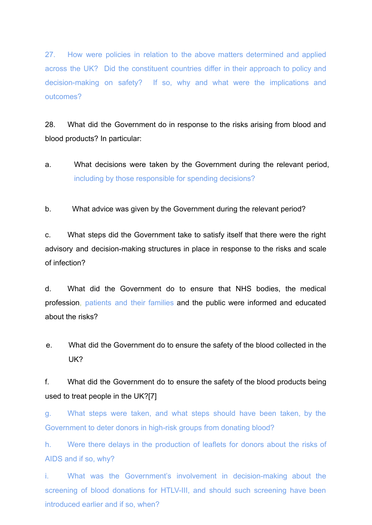27. How were policies in relation to the above matters determined and applied across the UK? Did the constituent countries differ in their approach to policy and decision-making on safety? If so, why and what were the implications and outcomes?

28. What did the Government do in response to the risks arising from blood and blood products? In particular:

a. What decisions were taken by the Government during the relevant period, including by those responsible for spending decisions?

b. What advice was given by the Government during the relevant period?

c. What steps did the Government take to satisfy itself that there were the right advisory and decision-making structures in place in response to the risks and scale of infection?

d. What did the Government do to ensure that NHS bodies, the medical profession, patients and their families and the public were informed and educated about the risks?

e. What did the Government do to ensure the safety of the blood collected in the UK?

f. What did the Government do to ensure the safety of the blood products being used to treat people in the UK?[7]

g. What steps were taken, and what steps should have been taken, by the Government to deter donors in high-risk groups from donating blood?

h. Were there delays in the production of leaflets for donors about the risks of AIDS and if so, why?

i. What was the Government's involvement in decision-making about the screening of blood donations for HTLV-III, and should such screening have been introduced earlier and if so, when?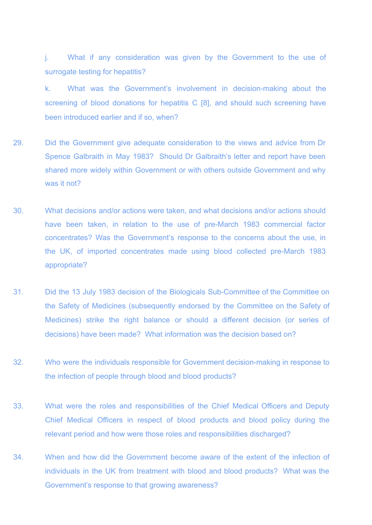j. What if any consideration was given by the Government to the use of surrogate testing for hepatitis?

k. What was the Government's involvement in decision-making about the screening of blood donations for hepatitis C [8], and should such screening have been introduced earlier and if so, when?

- 29. Did the Government give adequate consideration to the views and advice from Dr Spence Galbraith in May 1983? Should Dr Galbraith's letter and report have been shared more widely within Government or with others outside Government and why was it not?
- 30. What decisions and/or actions were taken, and what decisions and/or actions should have been taken, in relation to the use of pre-March 1983 commercial factor concentrates? Was the Government's response to the concerns about the use, in the UK, of imported concentrates made using blood collected pre-March 1983 appropriate?
- 31. Did the 13 July 1983 decision of the Biologicals Sub-Committee of the Committee on the Safety of Medicines (subsequently endorsed by the Committee on the Safety of Medicines) strike the right balance or should a different decision (or series of decisions) have been made? What information was the decision based on?
- 32. Who were the individuals responsible for Government decision-making in response to the infection of people through blood and blood products?
- 33. What were the roles and responsibilities of the Chief Medical Officers and Deputy Chief Medical Officers in respect of blood products and blood policy during the relevant period and how were those roles and responsibilities discharged?
- 34. When and how did the Government become aware of the extent of the infection of individuals in the UK from treatment with blood and blood products? What was the Government's response to that growing awareness?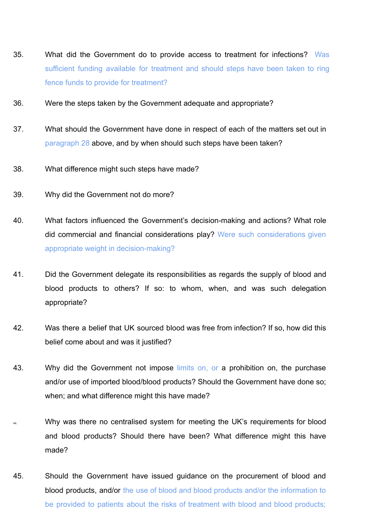- 35. What did the Government do to provide access to treatment for infections? Was sufficient funding available for treatment and should steps have been taken to ring fence funds to provide for treatment?
- 36. Were the steps taken by the Government adequate and appropriate?
- 37. What should the Government have done in respect of each of the matters set out in paragraph 28 above, and by when should such steps have been taken?
- 38. What difference might such steps have made?
- 39. Why did the Government not do more?
- 40. What factors influenced the Government's decision-making and actions? What role did commercial and financial considerations play? Were such considerations given appropriate weight in decision-making?
- 41. Did the Government delegate its responsibilities as regards the supply of blood and blood products to others? If so: to whom, when, and was such delegation appropriate?
- 42. Was there a belief that UK sourced blood was free from infection? If so, how did this belief come about and was it justified?
- 43. Why did the Government not impose limits on, or a prohibition on, the purchase and/or use of imported blood/blood products? Should the Government have done so; when; and what difference might this have made?
- 44. Why was there no centralised system for meeting the UK's requirements for blood and blood products? Should there have been? What difference might this have made?
- 45. Should the Government have issued guidance on the procurement of blood and blood products, and/or the use of blood and blood products and/or the information to be provided to patients about the risks of treatment with blood and blood products;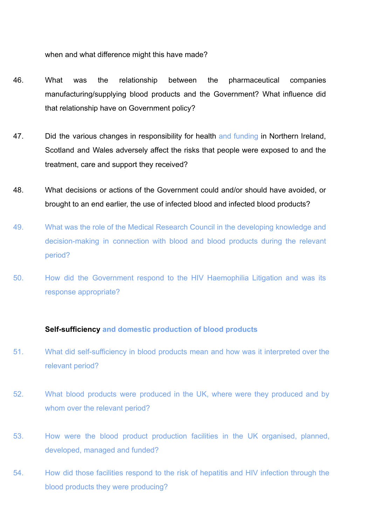when and what difference might this have made?

- 46. What was the relationship between the pharmaceutical companies manufacturing/supplying blood products and the Government? What influence did that relationship have on Government policy?
- 47. Did the various changes in responsibility for health and funding in Northern Ireland, Scotland and Wales adversely affect the risks that people were exposed to and the treatment, care and support they received?
- 48. What decisions or actions of the Government could and/or should have avoided, or brought to an end earlier, the use of infected blood and infected blood products?
- 49. What was the role of the Medical Research Council in the developing knowledge and decision-making in connection with blood and blood products during the relevant period?
- 50. How did the Government respond to the HIV Haemophilia Litigation and was its response appropriate?

#### <span id="page-11-0"></span>**Self-sufficiency and domestic production of blood products**

- 51. What did self-sufficiency in blood products mean and how was it interpreted over the relevant period?
- 52. What blood products were produced in the UK, where were they produced and by whom over the relevant period?
- 53. How were the blood product production facilities in the UK organised, planned, developed, managed and funded?
- 54. How did those facilities respond to the risk of hepatitis and HIV infection through the blood products they were producing?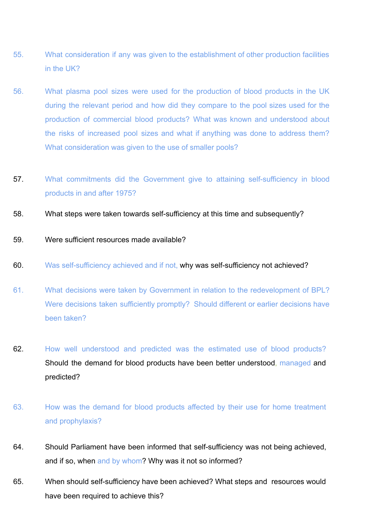- 55. What consideration if any was given to the establishment of other production facilities in the UK?
- 56. What plasma pool sizes were used for the production of blood products in the UK during the relevant period and how did they compare to the pool sizes used for the production of commercial blood products? What was known and understood about the risks of increased pool sizes and what if anything was done to address them? What consideration was given to the use of smaller pools?
- 57. What commitments did the Government give to attaining self-sufficiency in blood products in and after 1975?
- 58. What steps were taken towards self-sufficiency at this time and subsequently?
- 59. Were sufficient resources made available?
- 60. Was self-sufficiency achieved and if not, why was self-sufficiency not achieved?
- 61. What decisions were taken by Government in relation to the redevelopment of BPL? Were decisions taken sufficiently promptly? Should different or earlier decisions have been taken?
- 62. How well understood and predicted was the estimated use of blood products? Should the demand for blood products have been better understood, managed and predicted?
- 63. How was the demand for blood products affected by their use for home treatment and prophylaxis?
- 64. Should Parliament have been informed that self-sufficiency was not being achieved, and if so, when and by whom? Why was it not so informed?
- 65. When should self-sufficiency have been achieved? What steps and resources would have been required to achieve this?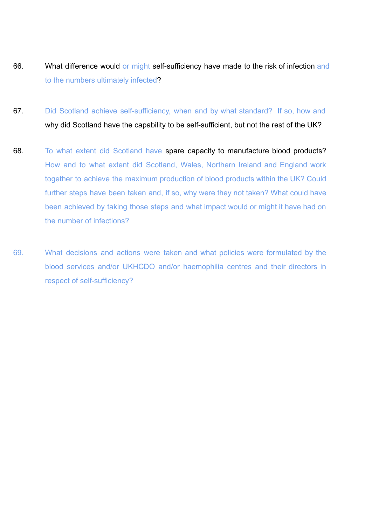- 66. What difference would or might self-sufficiency have made to the risk of infection and to the numbers ultimately infected?
- 67. Did Scotland achieve self-sufficiency, when and by what standard? If so, how and why did Scotland have the capability to be self-sufficient, but not the rest of the UK?
- 68. To what extent did Scotland have spare capacity to manufacture blood products? How and to what extent did Scotland, Wales, Northern Ireland and England work together to achieve the maximum production of blood products within the UK? Could further steps have been taken and, if so, why were they not taken? What could have been achieved by taking those steps and what impact would or might it have had on the number of infections?
- 69. What decisions and actions were taken and what policies were formulated by the blood services and/or UKHCDO and/or haemophilia centres and their directors in respect of self-sufficiency?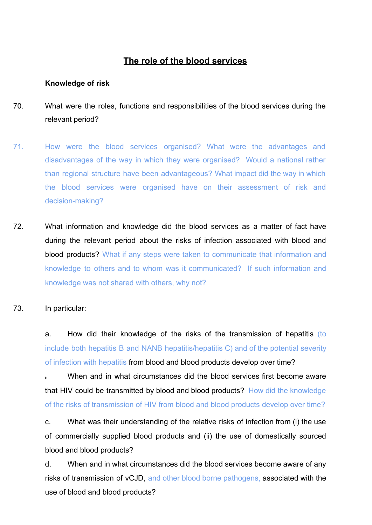## **The role of the blood services**

#### <span id="page-14-1"></span><span id="page-14-0"></span>**Knowledge of risk**

- 70. What were the roles, functions and responsibilities of the blood services during the relevant period?
- 71. How were the blood services organised? What were the advantages and disadvantages of the way in which they were organised? Would a national rather than regional structure have been advantageous? What impact did the way in which the blood services were organised have on their assessment of risk and decision-making?
- 72. What information and knowledge did the blood services as a matter of fact have during the relevant period about the risks of infection associated with blood and blood products? What if any steps were taken to communicate that information and knowledge to others and to whom was it communicated? If such information and knowledge was not shared with others, why not?
- 73. In particular:

a. How did their knowledge of the risks of the transmission of hepatitis (to include both hepatitis B and NANB hepatitis/hepatitis C) and of the potential severity of infection with hepatitis from blood and blood products develop over time?

When and in what circumstances did the blood services first become aware that HIV could be transmitted by blood and blood products? How did the knowledge of the risks of transmission of HIV from blood and blood products develop over time?

c. What was their understanding of the relative risks of infection from (i) the use of commercially supplied blood products and (ii) the use of domestically sourced blood and blood products?

d. When and in what circumstances did the blood services become aware of any risks of transmission of vCJD, and other blood borne pathogens, associated with the use of blood and blood products?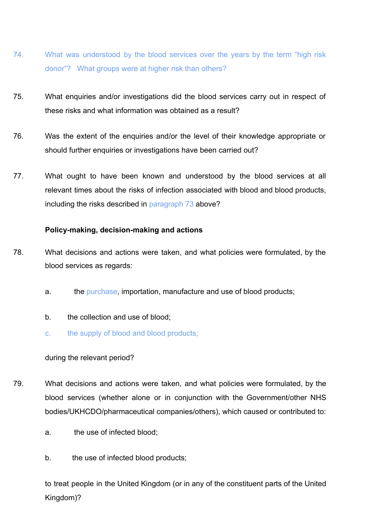- 74. What was understood by the blood services over the years by the term "high risk donor"? What groups were at higher risk than others?
- 75. What enquiries and/or investigations did the blood services carry out in respect of these risks and what information was obtained as a result?
- 76. Was the extent of the enquiries and/or the level of their knowledge appropriate or should further enquiries or investigations have been carried out?
- 77. What ought to have been known and understood by the blood services at all relevant times about the risks of infection associated with blood and blood products, including the risks described in paragraph 73 above?

## <span id="page-15-0"></span>**Policy-making, decision-making and actions**

- 78. What decisions and actions were taken, and what policies were formulated, by the blood services as regards:
	- a. the purchase, importation, manufacture and use of blood products;
	- b. the collection and use of blood;
	- c. the supply of blood and blood products;

## during the relevant period?

- 79. What decisions and actions were taken, and what policies were formulated, by the blood services (whether alone or in conjunction with the Government/other NHS bodies/UKHCDO/pharmaceutical companies/others), which caused or contributed to:
	- a. the use of infected blood;
	- b. the use of infected blood products;

to treat people in the United Kingdom (or in any of the constituent parts of the United Kingdom)?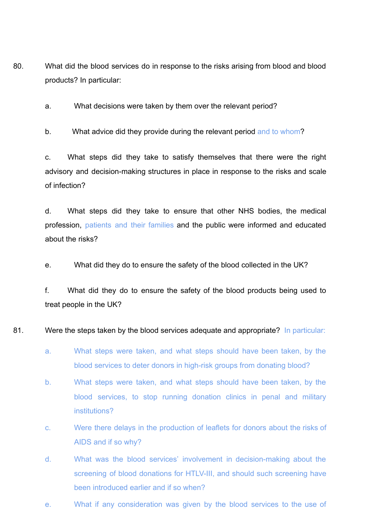80. What did the blood services do in response to the risks arising from blood and blood products? In particular:

a. What decisions were taken by them over the relevant period?

b. What advice did they provide during the relevant period and to whom?

c. What steps did they take to satisfy themselves that there were the right advisory and decision-making structures in place in response to the risks and scale of infection?

d. What steps did they take to ensure that other NHS bodies, the medical profession, patients and their families and the public were informed and educated about the risks?

e. What did they do to ensure the safety of the blood collected in the UK?

f. What did they do to ensure the safety of the blood products being used to treat people in the UK?

81. Were the steps taken by the blood services adequate and appropriate? In particular:

- a. What steps were taken, and what steps should have been taken, by the blood services to deter donors in high-risk groups from donating blood?
- b. What steps were taken, and what steps should have been taken, by the blood services, to stop running donation clinics in penal and military institutions?
- c. Were there delays in the production of leaflets for donors about the risks of AIDS and if so why?
- d. What was the blood services' involvement in decision-making about the screening of blood donations for HTLV-III, and should such screening have been introduced earlier and if so when?
- e. What if any consideration was given by the blood services to the use of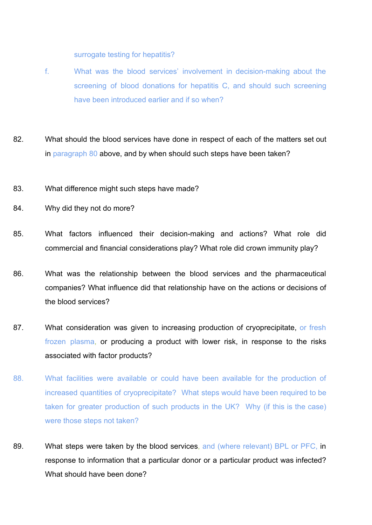surrogate testing for hepatitis?

- f. What was the blood services' involvement in decision-making about the screening of blood donations for hepatitis C, and should such screening have been introduced earlier and if so when?
- 82. What should the blood services have done in respect of each of the matters set out in paragraph 80 above, and by when should such steps have been taken?
- 83. What difference might such steps have made?
- 84. Why did they not do more?
- 85. What factors influenced their decision-making and actions? What role did commercial and financial considerations play? What role did crown immunity play?
- 86. What was the relationship between the blood services and the pharmaceutical companies? What influence did that relationship have on the actions or decisions of the blood services?
- 87. What consideration was given to increasing production of cryoprecipitate, or fresh frozen plasma, or producing a product with lower risk, in response to the risks associated with factor products?
- 88. What facilities were available or could have been available for the production of increased quantities of cryoprecipitate? What steps would have been required to be taken for greater production of such products in the UK? Why (if this is the case) were those steps not taken?
- 89. What steps were taken by the blood services, and (where relevant) BPL or PFC, in response to information that a particular donor or a particular product was infected? What should have been done?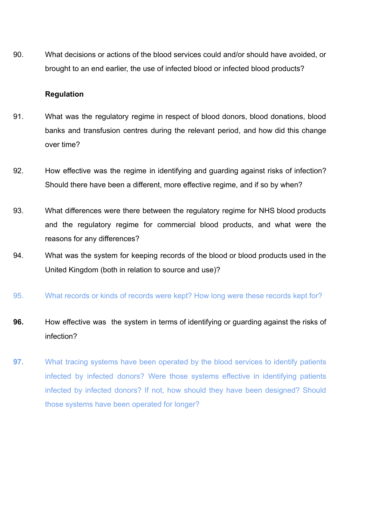90. What decisions or actions of the blood services could and/or should have avoided, or brought to an end earlier, the use of infected blood or infected blood products?

### <span id="page-18-0"></span>**Regulation**

- 91. What was the regulatory regime in respect of blood donors, blood donations, blood banks and transfusion centres during the relevant period, and how did this change over time?
- 92. How effective was the regime in identifying and guarding against risks of infection? Should there have been a different, more effective regime, and if so by when?
- 93. What differences were there between the regulatory regime for NHS blood products and the regulatory regime for commercial blood products, and what were the reasons for any differences?
- 94. What was the system for keeping records of the blood or blood products used in the United Kingdom (both in relation to source and use)?
- 95. What records or kinds of records were kept? How long were these records kept for?
- **96.** How effective was the system in terms of identifying or guarding against the risks of infection?
- **97.** What tracing systems have been operated by the blood services to identify patients infected by infected donors? Were those systems effective in identifying patients infected by infected donors? If not, how should they have been designed? Should those systems have been operated for longer?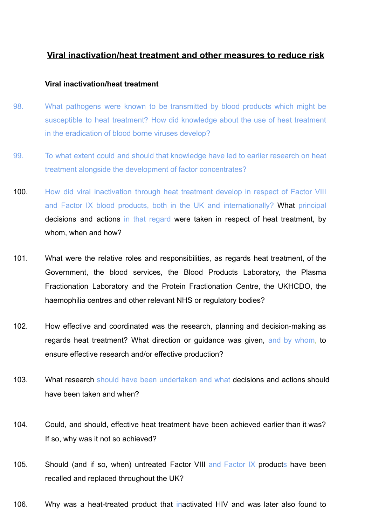## **Viral inactivation/heat treatment and other measures to reduce risk**

#### <span id="page-19-0"></span>**Viral inactivation/heat treatment**

- 98. What pathogens were known to be transmitted by blood products which might be susceptible to heat treatment? How did knowledge about the use of heat treatment in the eradication of blood borne viruses develop?
- 99. To what extent could and should that knowledge have led to earlier research on heat treatment alongside the development of factor concentrates?
- 100. How did viral inactivation through heat treatment develop in respect of Factor VIII and Factor IX blood products, both in the UK and internationally? What principal decisions and actions in that regard were taken in respect of heat treatment, by whom, when and how?
- 101. What were the relative roles and responsibilities, as regards heat treatment, of the Government, the blood services, the Blood Products Laboratory, the Plasma Fractionation Laboratory and the Protein Fractionation Centre, the UKHCDO, the haemophilia centres and other relevant NHS or regulatory bodies?
- 102. How effective and coordinated was the research, planning and decision-making as regards heat treatment? What direction or guidance was given, and by whom, to ensure effective research and/or effective production?
- 103. What research should have been undertaken and what decisions and actions should have been taken and when?
- 104. Could, and should, effective heat treatment have been achieved earlier than it was? If so, why was it not so achieved?
- 105. Should (and if so, when) untreated Factor VIII and Factor IX products have been recalled and replaced throughout the UK?
- 106. Why was a heat-treated product that inactivated HIV and was later also found to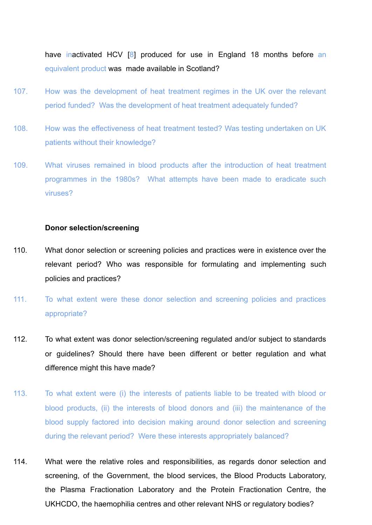have inactivated HCV [8] produced for use in England 18 months before an equivalent product was made available in Scotland?

- 107. How was the development of heat treatment regimes in the UK over the relevant period funded? Was the development of heat treatment adequately funded?
- 108. How was the effectiveness of heat treatment tested? Was testing undertaken on UK patients without their knowledge?
- 109. What viruses remained in blood products after the introduction of heat treatment programmes in the 1980s? What attempts have been made to eradicate such viruses?

#### <span id="page-20-0"></span>**Donor selection/screening**

- 110. What donor selection or screening policies and practices were in existence over the relevant period? Who was responsible for formulating and implementing such policies and practices?
- 111. To what extent were these donor selection and screening policies and practices appropriate?
- 112. To what extent was donor selection/screening regulated and/or subject to standards or guidelines? Should there have been different or better regulation and what difference might this have made?
- 113. To what extent were (i) the interests of patients liable to be treated with blood or blood products, (ii) the interests of blood donors and (iii) the maintenance of the blood supply factored into decision making around donor selection and screening during the relevant period? Were these interests appropriately balanced?
- 114. What were the relative roles and responsibilities, as regards donor selection and screening, of the Government, the blood services, the Blood Products Laboratory, the Plasma Fractionation Laboratory and the Protein Fractionation Centre, the UKHCDO, the haemophilia centres and other relevant NHS or regulatory bodies?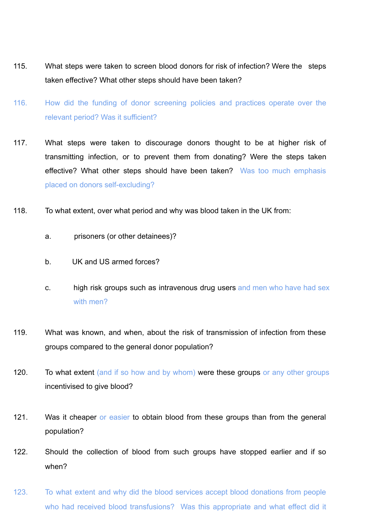- 115. What steps were taken to screen blood donors for risk of infection? Were the steps taken effective? What other steps should have been taken?
- 116. How did the funding of donor screening policies and practices operate over the relevant period? Was it sufficient?
- 117. What steps were taken to discourage donors thought to be at higher risk of transmitting infection, or to prevent them from donating? Were the steps taken effective? What other steps should have been taken? Was too much emphasis placed on donors self-excluding?
- 118. To what extent, over what period and why was blood taken in the UK from:
	- a. prisoners (or other detainees)?
	- b. UK and US armed forces?
	- c. high risk groups such as intravenous drug users and men who have had sex with men?
- 119. What was known, and when, about the risk of transmission of infection from these groups compared to the general donor population?
- 120. To what extent (and if so how and by whom) were these groups or any other groups incentivised to give blood?
- 121. Was it cheaper or easier to obtain blood from these groups than from the general population?
- 122. Should the collection of blood from such groups have stopped earlier and if so when?
- 123. To what extent and why did the blood services accept blood donations from people who had received blood transfusions? Was this appropriate and what effect did it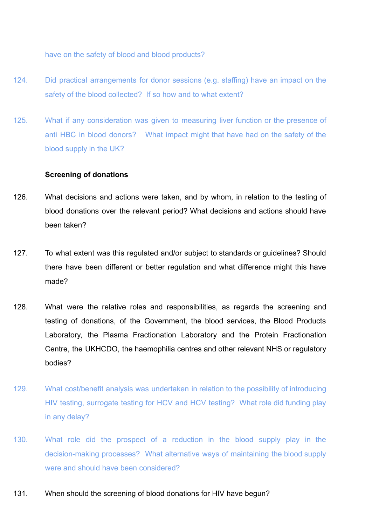have on the safety of blood and blood products?

- 124. Did practical arrangements for donor sessions (e.g. staffing) have an impact on the safety of the blood collected? If so how and to what extent?
- 125. What if any consideration was given to measuring liver function or the presence of anti HBC in blood donors? What impact might that have had on the safety of the blood supply in the UK?

#### <span id="page-22-0"></span>**Screening of donations**

- 126. What decisions and actions were taken, and by whom, in relation to the testing of blood donations over the relevant period? What decisions and actions should have been taken?
- 127. To what extent was this regulated and/or subject to standards or guidelines? Should there have been different or better regulation and what difference might this have made?
- 128. What were the relative roles and responsibilities, as regards the screening and testing of donations, of the Government, the blood services, the Blood Products Laboratory, the Plasma Fractionation Laboratory and the Protein Fractionation Centre, the UKHCDO, the haemophilia centres and other relevant NHS or regulatory bodies?
- 129. What cost/benefit analysis was undertaken in relation to the possibility of introducing HIV testing, surrogate testing for HCV and HCV testing? What role did funding play in any delay?
- 130. What role did the prospect of a reduction in the blood supply play in the decision-making processes? What alternative ways of maintaining the blood supply were and should have been considered?
- 131. When should the screening of blood donations for HIV have begun?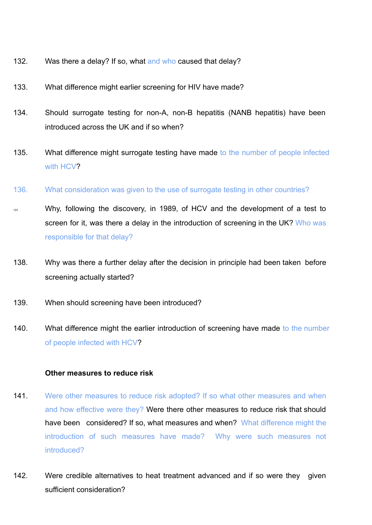- 132. Was there a delay? If so, what and who caused that delay?
- 133. What difference might earlier screening for HIV have made?
- 134. Should surrogate testing for non-A, non-B hepatitis (NANB hepatitis) have been introduced across the UK and if so when?
- 135. What difference might surrogate testing have made to the number of people infected with HCV?
- 136. What consideration was given to the use of surrogate testing in other countries?
- 137. Why, following the discovery, in 1989, of HCV and the development of a test to screen for it, was there a delay in the introduction of screening in the UK? Who was responsible for that delay?
- 138. Why was there a further delay after the decision in principle had been taken before screening actually started?
- 139. When should screening have been introduced?
- 140. What difference might the earlier introduction of screening have made to the number of people infected with HCV?

### <span id="page-23-0"></span>**Other measures to reduce risk**

- 141. Were other measures to reduce risk adopted? If so what other measures and when and how effective were they? Were there other measures to reduce risk that should have been considered? If so, what measures and when? What difference might the introduction of such measures have made? Why were such measures not introduced?
- 142. Were credible alternatives to heat treatment advanced and if so were they given sufficient consideration?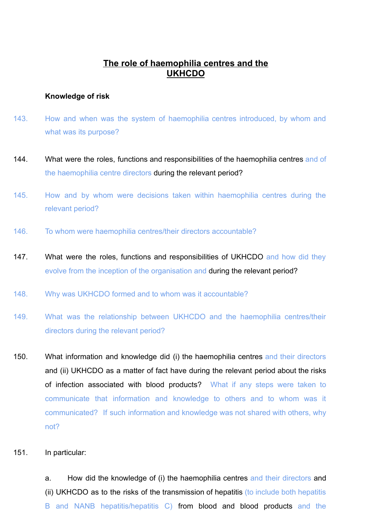# **The role of haemophilia centres and the UKHCDO**

#### <span id="page-24-1"></span><span id="page-24-0"></span>**Knowledge of risk**

- 143. How and when was the system of haemophilia centres introduced, by whom and what was its purpose?
- 144. What were the roles, functions and responsibilities of the haemophilia centres and of the haemophilia centre directors during the relevant period?
- 145. How and by whom were decisions taken within haemophilia centres during the relevant period?
- 146. To whom were haemophilia centres/their directors accountable?
- 147. What were the roles, functions and responsibilities of UKHCDO and how did they evolve from the inception of the organisation and during the relevant period?
- 148. Why was UKHCDO formed and to whom was it accountable?
- 149. What was the relationship between UKHCDO and the haemophilia centres/their directors during the relevant period?
- 150. What information and knowledge did (i) the haemophilia centres and their directors and (ii) UKHCDO as a matter of fact have during the relevant period about the risks of infection associated with blood products? What if any steps were taken to communicate that information and knowledge to others and to whom was it communicated? If such information and knowledge was not shared with others, why not?
- 151. In particular:

a. How did the knowledge of (i) the haemophilia centres and their directors and (ii) UKHCDO as to the risks of the transmission of hepatitis (to include both hepatitis B and NANB hepatitis/hepatitis C) from blood and blood products and the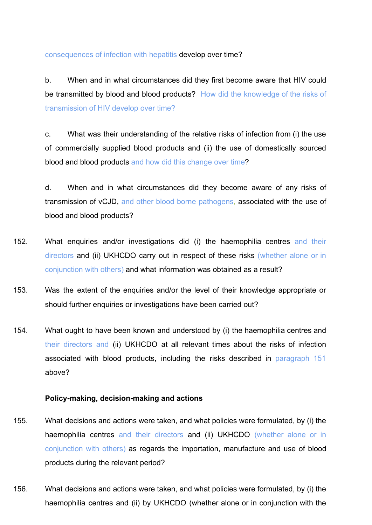consequences of infection with hepatitis develop over time?

b. When and in what circumstances did they first become aware that HIV could be transmitted by blood and blood products? How did the knowledge of the risks of transmission of HIV develop over time?

c. What was their understanding of the relative risks of infection from (i) the use of commercially supplied blood products and (ii) the use of domestically sourced blood and blood products and how did this change over time?

d. When and in what circumstances did they become aware of any risks of transmission of vCJD, and other blood borne pathogens, associated with the use of blood and blood products?

- 152. What enquiries and/or investigations did (i) the haemophilia centres and their directors and (ii) UKHCDO carry out in respect of these risks (whether alone or in conjunction with others) and what information was obtained as a result?
- 153. Was the extent of the enquiries and/or the level of their knowledge appropriate or should further enquiries or investigations have been carried out?
- 154. What ought to have been known and understood by (i) the haemophilia centres and their directors and (ii) UKHCDO at all relevant times about the risks of infection associated with blood products, including the risks described in paragraph 151 above?

## <span id="page-25-0"></span>**Policy-making, decision-making and actions**

- 155. What decisions and actions were taken, and what policies were formulated, by (i) the haemophilia centres and their directors and (ii) UKHCDO (whether alone or in conjunction with others) as regards the importation, manufacture and use of blood products during the relevant period?
- 156. What decisions and actions were taken, and what policies were formulated, by (i) the haemophilia centres and (ii) by UKHCDO (whether alone or in conjunction with the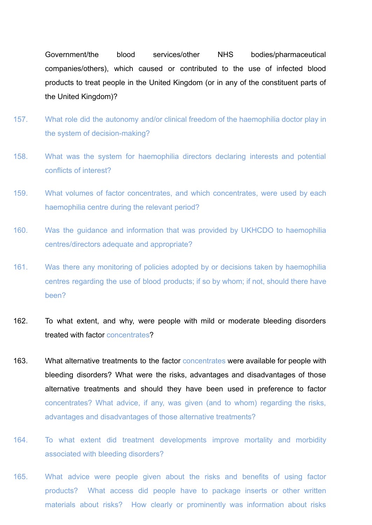Government/the blood services/other NHS bodies/pharmaceutical companies/others), which caused or contributed to the use of infected blood products to treat people in the United Kingdom (or in any of the constituent parts of the United Kingdom)?

- 157. What role did the autonomy and/or clinical freedom of the haemophilia doctor play in the system of decision-making?
- 158. What was the system for haemophilia directors declaring interests and potential conflicts of interest?
- 159. What volumes of factor concentrates, and which concentrates, were used by each haemophilia centre during the relevant period?
- 160. Was the guidance and information that was provided by UKHCDO to haemophilia centres/directors adequate and appropriate?
- 161. Was there any monitoring of policies adopted by or decisions taken by haemophilia centres regarding the use of blood products; if so by whom; if not, should there have been?
- 162. To what extent, and why, were people with mild or moderate bleeding disorders treated with factor concentrates?
- 163. What alternative treatments to the factor concentrates were available for people with bleeding disorders? What were the risks, advantages and disadvantages of those alternative treatments and should they have been used in preference to factor concentrates? What advice, if any, was given (and to whom) regarding the risks, advantages and disadvantages of those alternative treatments?
- 164. To what extent did treatment developments improve mortality and morbidity associated with bleeding disorders?
- 165. What advice were people given about the risks and benefits of using factor products? What access did people have to package inserts or other written materials about risks? How clearly or prominently was information about risks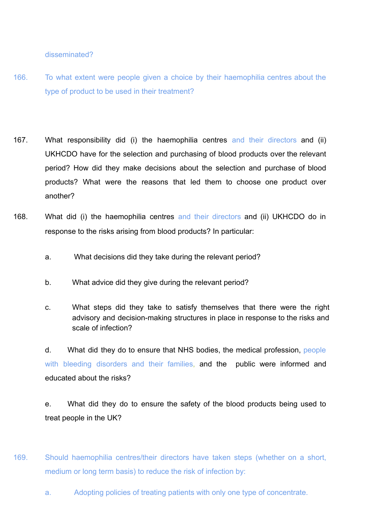disseminated?

- 166. To what extent were people given a choice by their haemophilia centres about the type of product to be used in their treatment?
- 167. What responsibility did (i) the haemophilia centres and their directors and (ii) UKHCDO have for the selection and purchasing of blood products over the relevant period? How did they make decisions about the selection and purchase of blood products? What were the reasons that led them to choose one product over another?
- 168. What did (i) the haemophilia centres and their directors and (ii) UKHCDO do in response to the risks arising from blood products? In particular:
	- a. What decisions did they take during the relevant period?
	- b. What advice did they give during the relevant period?
	- c. What steps did they take to satisfy themselves that there were the right advisory and decision-making structures in place in response to the risks and scale of infection?

d. What did they do to ensure that NHS bodies, the medical profession, people with bleeding disorders and their families, and the public were informed and educated about the risks?

e. What did they do to ensure the safety of the blood products being used to treat people in the UK?

- 169. Should haemophilia centres/their directors have taken steps (whether on a short, medium or long term basis) to reduce the risk of infection by:
	- a. Adopting policies of treating patients with only one type of concentrate.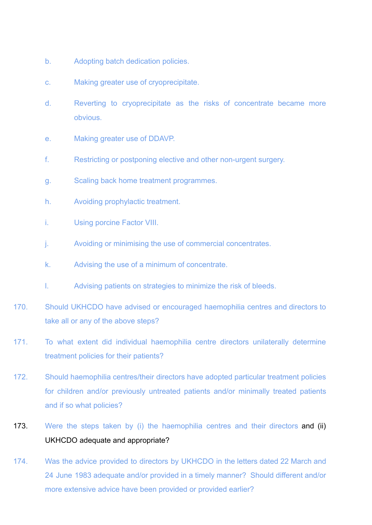- b. Adopting batch dedication policies.
- c. Making greater use of cryoprecipitate.
- d. Reverting to cryoprecipitate as the risks of concentrate became more obvious.
- e. Making greater use of DDAVP.
- f. Restricting or postponing elective and other non-urgent surgery.
- g. Scaling back home treatment programmes.
- h. Avoiding prophylactic treatment.
- i. Using porcine Factor VIII.
- j. Avoiding or minimising the use of commercial concentrates.
- k. Advising the use of a minimum of concentrate.
- l. Advising patients on strategies to minimize the risk of bleeds.
- 170. Should UKHCDO have advised or encouraged haemophilia centres and directors to take all or any of the above steps?
- 171. To what extent did individual haemophilia centre directors unilaterally determine treatment policies for their patients?
- 172. Should haemophilia centres/their directors have adopted particular treatment policies for children and/or previously untreated patients and/or minimally treated patients and if so what policies?
- 173. Were the steps taken by (i) the haemophilia centres and their directors and (ii) UKHCDO adequate and appropriate?
- 174. Was the advice provided to directors by UKHCDO in the letters dated 22 March and 24 June 1983 adequate and/or provided in a timely manner? Should different and/or more extensive advice have been provided or provided earlier?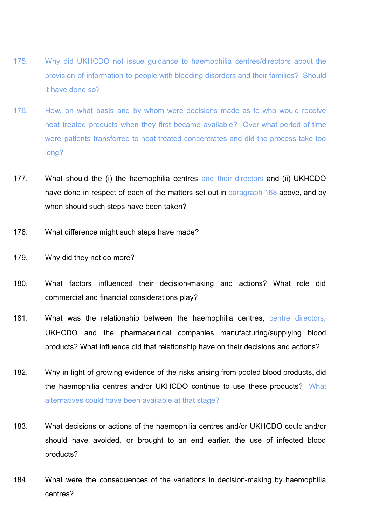- 175. Why did UKHCDO not issue guidance to haemophilia centres/directors about the provision of information to people with bleeding disorders and their families? Should it have done so?
- 176. How, on what basis and by whom were decisions made as to who would receive heat treated products when they first became available? Over what period of time were patients transferred to heat treated concentrates and did the process take too long?
- 177. What should the (i) the haemophilia centres and their directors and (ii) UKHCDO have done in respect of each of the matters set out in paragraph 168 above, and by when should such steps have been taken?
- 178. What difference might such steps have made?
- 179. Why did they not do more?
- 180. What factors influenced their decision-making and actions? What role did commercial and financial considerations play?
- 181. What was the relationship between the haemophilia centres, centre directors, UKHCDO and the pharmaceutical companies manufacturing/supplying blood products? What influence did that relationship have on their decisions and actions?
- 182. Why in light of growing evidence of the risks arising from pooled blood products, did the haemophilia centres and/or UKHCDO continue to use these products? What alternatives could have been available at that stage?
- 183. What decisions or actions of the haemophilia centres and/or UKHCDO could and/or should have avoided, or brought to an end earlier, the use of infected blood products?
- 184. What were the consequences of the variations in decision-making by haemophilia centres?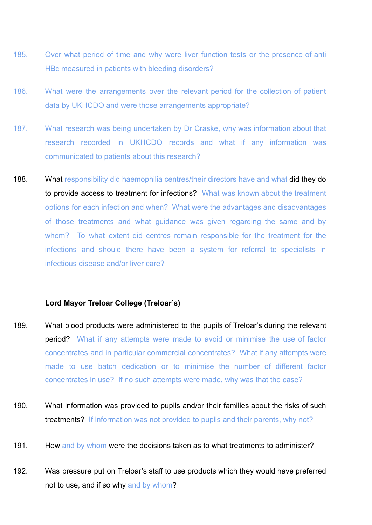- 185. Over what period of time and why were liver function tests or the presence of anti HBc measured in patients with bleeding disorders?
- 186. What were the arrangements over the relevant period for the collection of patient data by UKHCDO and were those arrangements appropriate?
- 187. What research was being undertaken by Dr Craske, why was information about that research recorded in UKHCDO records and what if any information was communicated to patients about this research?
- 188. What responsibility did haemophilia centres/their directors have and what did they do to provide access to treatment for infections? What was known about the treatment options for each infection and when? What were the advantages and disadvantages of those treatments and what guidance was given regarding the same and by whom? To what extent did centres remain responsible for the treatment for the infections and should there have been a system for referral to specialists in infectious disease and/or liver care?

## <span id="page-30-0"></span>**Lord Mayor Treloar College (Treloar's)**

- 189. What blood products were administered to the pupils of Treloar's during the relevant **period?** What if any attempts were made to avoid or minimise the use of factor concentrates and in particular commercial concentrates? What if any attempts were made to use batch dedication or to minimise the number of different factor concentrates in use? If no such attempts were made, why was that the case?
- 190. What information was provided to pupils and/or their families about the risks of such treatments? If information was not provided to pupils and their parents, why not?
- 191. How and by whom were the decisions taken as to what treatments to administer?
- 192. Was pressure put on Treloar's staff to use products which they would have preferred not to use, and if so why and by whom?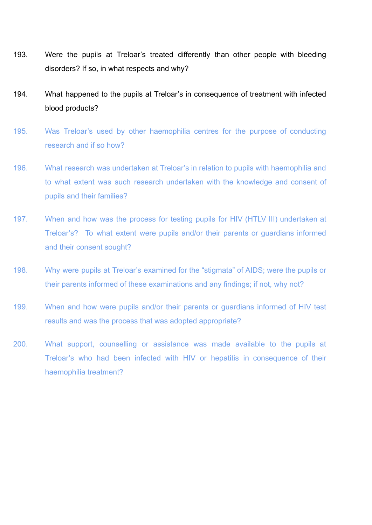- 193. Were the pupils at Treloar's treated differently than other people with bleeding disorders? If so, in what respects and why?
- 194. What happened to the pupils at Treloar's in consequence of treatment with infected blood products?
- 195. Was Treloar's used by other haemophilia centres for the purpose of conducting research and if so how?
- 196. What research was undertaken at Treloar's in relation to pupils with haemophilia and to what extent was such research undertaken with the knowledge and consent of pupils and their families?
- 197. When and how was the process for testing pupils for HIV (HTLV III) undertaken at Treloar's? To what extent were pupils and/or their parents or guardians informed and their consent sought?
- 198. Why were pupils at Treloar's examined for the "stigmata" of AIDS; were the pupils or their parents informed of these examinations and any findings; if not, why not?
- 199. When and how were pupils and/or their parents or guardians informed of HIV test results and was the process that was adopted appropriate?
- 200. What support, counselling or assistance was made available to the pupils at Treloar's who had been infected with HIV or hepatitis in consequence of their haemophilia treatment?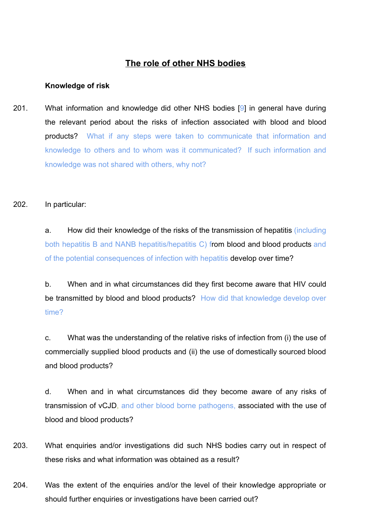# **The role of other NHS bodies**

### <span id="page-32-1"></span><span id="page-32-0"></span>**Knowledge of risk**

201. What information and knowledge did other NHS bodies [9] in general have during the relevant period about the risks of infection associated with blood and blood products? What if any steps were taken to communicate that information and knowledge to others and to whom was it communicated? If such information and knowledge was not shared with others, why not?

### 202. In particular:

a. How did their knowledge of the risks of the transmission of hepatitis (including both hepatitis B and NANB hepatitis/hepatitis C) from blood and blood products and of the potential consequences of infection with hepatitis develop over time?

b. When and in what circumstances did they first become aware that HIV could be transmitted by blood and blood products? How did that knowledge develop over time?

c. What was the understanding of the relative risks of infection from (i) the use of commercially supplied blood products and (ii) the use of domestically sourced blood and blood products?

d. When and in what circumstances did they become aware of any risks of transmission of vCJD, and other blood borne pathogens, associated with the use of blood and blood products?

- 203. What enquiries and/or investigations did such NHS bodies carry out in respect of these risks and what information was obtained as a result?
- 204. Was the extent of the enquiries and/or the level of their knowledge appropriate or should further enquiries or investigations have been carried out?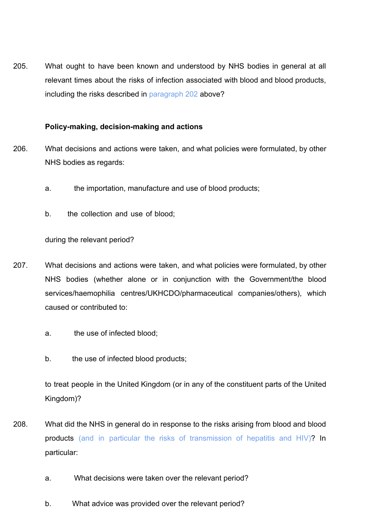205. What ought to have been known and understood by NHS bodies in general at all relevant times about the risks of infection associated with blood and blood products, including the risks described in paragraph 202 above?

## <span id="page-33-0"></span>**Policy-making, decision-making and actions**

- 206. What decisions and actions were taken, and what policies were formulated, by other NHS bodies as regards:
	- a. the importation, manufacture and use of blood products;
	- b. the collection and use of blood;

during the relevant period?

- 207. What decisions and actions were taken, and what policies were formulated, by other NHS bodies (whether alone or in conjunction with the Government/the blood services/haemophilia centres/UKHCDO/pharmaceutical companies/others), which caused or contributed to:
	- a. the use of infected blood;
	- b. the use of infected blood products;

to treat people in the United Kingdom (or in any of the constituent parts of the United Kingdom)?

- 208. What did the NHS in general do in response to the risks arising from blood and blood products (and in particular the risks of transmission of hepatitis and HIV)? In particular:
	- a. What decisions were taken over the relevant period?
	- b. What advice was provided over the relevant period?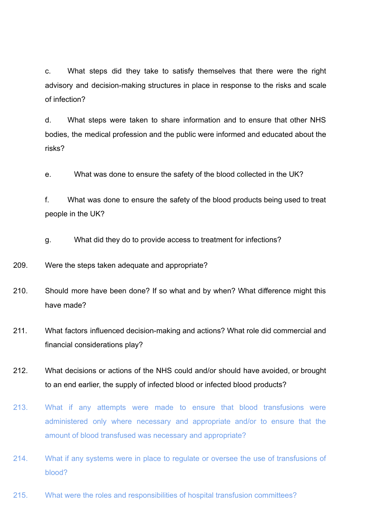c. What steps did they take to satisfy themselves that there were the right advisory and decision-making structures in place in response to the risks and scale of infection?

d. What steps were taken to share information and to ensure that other NHS bodies, the medical profession and the public were informed and educated about the risks?

e. What was done to ensure the safety of the blood collected in the UK?

f. What was done to ensure the safety of the blood products being used to treat people in the UK?

g. What did they do to provide access to treatment for infections?

209. Were the steps taken adequate and appropriate?

- 210. Should more have been done? If so what and by when? What difference might this have made?
- 211. What factors influenced decision-making and actions? What role did commercial and financial considerations play?
- 212. What decisions or actions of the NHS could and/or should have avoided, or brought to an end earlier, the supply of infected blood or infected blood products?
- 213. What if any attempts were made to ensure that blood transfusions were administered only where necessary and appropriate and/or to ensure that the amount of blood transfused was necessary and appropriate?
- 214. What if any systems were in place to regulate or oversee the use of transfusions of blood?
- 215. What were the roles and responsibilities of hospital transfusion committees?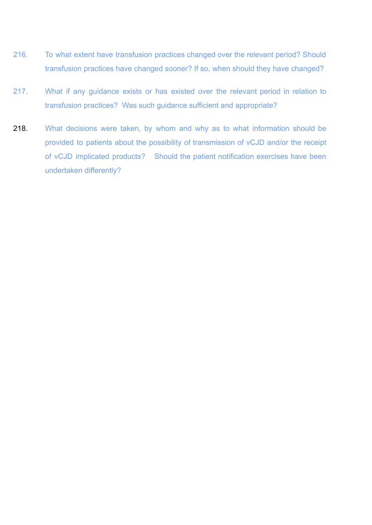- 216. To what extent have transfusion practices changed over the relevant period? Should transfusion practices have changed sooner? If so, when should they have changed?
- 217. What if any guidance exists or has existed over the relevant period in relation to transfusion practices? Was such guidance sufficient and appropriate?
- 218. What decisions were taken, by whom and why as to what information should be provided to patients about the possibility of transmission of vCJD and/or the receipt of vCJD implicated products? Should the patient notification exercises have been undertaken differently?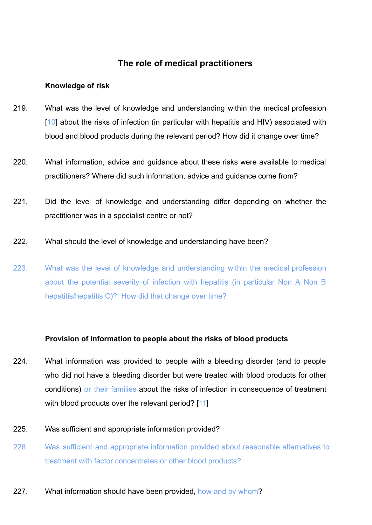# **The role of medical practitioners**

#### **Knowledge of risk**

- 219. What was the level of knowledge and understanding within the medical profession [10] about the risks of infection (in particular with hepatitis and HIV) associated with blood and blood products during the relevant period? How did it change over time?
- 220. What information, advice and guidance about these risks were available to medical practitioners? Where did such information, advice and guidance come from?
- 221. Did the level of knowledge and understanding differ depending on whether the practitioner was in a specialist centre or not?
- 222. What should the level of knowledge and understanding have been?
- 223. What was the level of knowledge and understanding within the medical profession about the potential severity of infection with hepatitis (in particular Non A Non B hepatitis/hepatitis C)? How did that change over time?

## **Provision of information to people about the risks of blood products**

224. What information was provided to people with a bleeding disorder (and to people who did not have a bleeding disorder but were treated with blood products for other conditions) or their families about the risks of infection in consequence of treatment with blood products over the relevant period? [11]

#### 225. Was sufficient and appropriate information provided?

- 226. Was sufficient and appropriate information provided about reasonable alternatives to treatment with factor concentrates or other blood products?
- 227. What information should have been provided, how and by whom?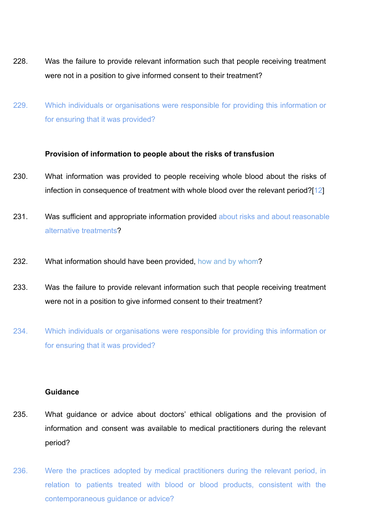- 228. Was the failure to provide relevant information such that people receiving treatment were not in a position to give informed consent to their treatment?
- 229. Which individuals or organisations were responsible for providing this information or for ensuring that it was provided?

#### **Provision of information to people about the risks of transfusion**

- 230. What information was provided to people receiving whole blood about the risks of infection in consequence of treatment with whole blood over the relevant period?[12]
- 231. Was sufficient and appropriate information provided about risks and about reasonable alternative treatments?
- 232. What information should have been provided, how and by whom?
- 233. Was the failure to provide relevant information such that people receiving treatment were not in a position to give informed consent to their treatment?
- 234. Which individuals or organisations were responsible for providing this information or for ensuring that it was provided?

#### **Guidance**

- 235. What guidance or advice about doctors' ethical obligations and the provision of information and consent was available to medical practitioners during the relevant period?
- 236. Were the practices adopted by medical practitioners during the relevant period, in relation to patients treated with blood or blood products, consistent with the contemporaneous guidance or advice?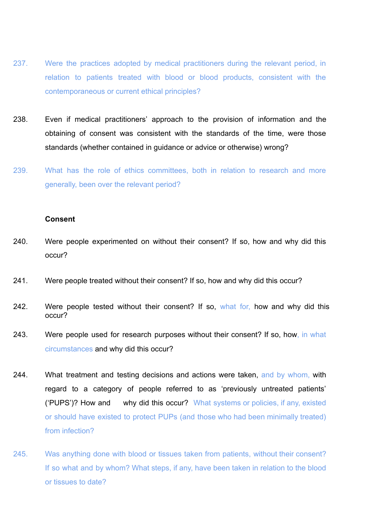- 237. Were the practices adopted by medical practitioners during the relevant period, in relation to patients treated with blood or blood products, consistent with the contemporaneous or current ethical principles?
- 238. Even if medical practitioners' approach to the provision of information and the obtaining of consent was consistent with the standards of the time, were those standards (whether contained in guidance or advice or otherwise) wrong?
- 239. What has the role of ethics committees, both in relation to research and more generally, been over the relevant period?

#### **Consent**

- 240. Were people experimented on without their consent? If so, how and why did this occur?
- 241. Were people treated without their consent? If so, how and why did this occur?
- 242. Were people tested without their consent? If so, what for, how and why did this occur?
- 243. Were people used for research purposes without their consent? If so, how, in what circumstances and why did this occur?
- 244. What treatment and testing decisions and actions were taken, and by whom, with regard to a category of people referred to as 'previously untreated patients' ('PUPS')? How and why did this occur? What systems or policies, if any, existed or should have existed to protect PUPs (and those who had been minimally treated) from infection?
- 245. Was anything done with blood or tissues taken from patients, without their consent? If so what and by whom? What steps, if any, have been taken in relation to the blood or tissues to date?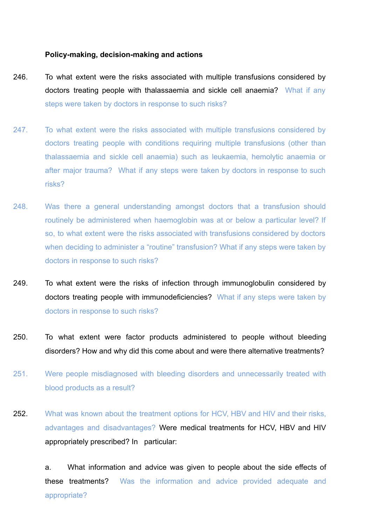#### **Policy-making, decision-making and actions**

- 246. To what extent were the risks associated with multiple transfusions considered by doctors treating people with thalassaemia and sickle cell anaemia? What if any steps were taken by doctors in response to such risks?
- 247. To what extent were the risks associated with multiple transfusions considered by doctors treating people with conditions requiring multiple transfusions (other than thalassaemia and sickle cell anaemia) such as leukaemia, hemolytic anaemia or after major trauma? What if any steps were taken by doctors in response to such risks?
- 248. Was there a general understanding amongst doctors that a transfusion should routinely be administered when haemoglobin was at or below a particular level? If so, to what extent were the risks associated with transfusions considered by doctors when deciding to administer a "routine" transfusion? What if any steps were taken by doctors in response to such risks?
- 249. To what extent were the risks of infection through immunoglobulin considered by doctors treating people with immunodeficiencies? What if any steps were taken by doctors in response to such risks?
- 250. To what extent were factor products administered to people without bleeding disorders? How and why did this come about and were there alternative treatments?
- 251. Were people misdiagnosed with bleeding disorders and unnecessarily treated with blood products as a result?
- 252. What was known about the treatment options for HCV, HBV and HIV and their risks. advantages and disadvantages? Were medical treatments for HCV, HBV and HIV appropriately prescribed? In particular:

a. What information and advice was given to people about the side effects of these treatments? Was the information and advice provided adequate and appropriate?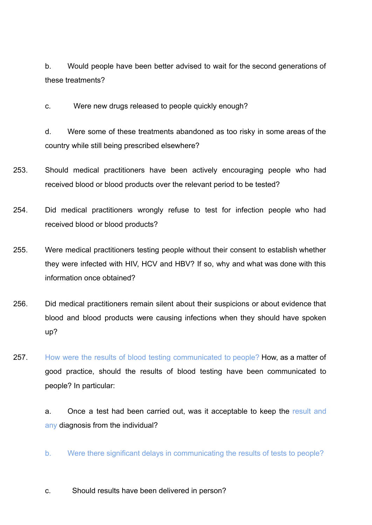b. Would people have been better advised to wait for the second generations of these treatments?

c. Were new drugs released to people quickly enough?

d. Were some of these treatments abandoned as too risky in some areas of the country while still being prescribed elsewhere?

- 253. Should medical practitioners have been actively encouraging people who had received blood or blood products over the relevant period to be tested?
- 254. Did medical practitioners wrongly refuse to test for infection people who had received blood or blood products?
- 255. Were medical practitioners testing people without their consent to establish whether they were infected with HIV, HCV and HBV? If so, why and what was done with this information once obtained?
- 256. Did medical practitioners remain silent about their suspicions or about evidence that blood and blood products were causing infections when they should have spoken up?
- 257. How were the results of blood testing communicated to people? How, as a matter of good practice, should the results of blood testing have been communicated to people? In particular:

a. Once a test had been carried out, was it acceptable to keep the result and any diagnosis from the individual?

- b. Were there significant delays in communicating the results of tests to people?
- c. Should results have been delivered in person?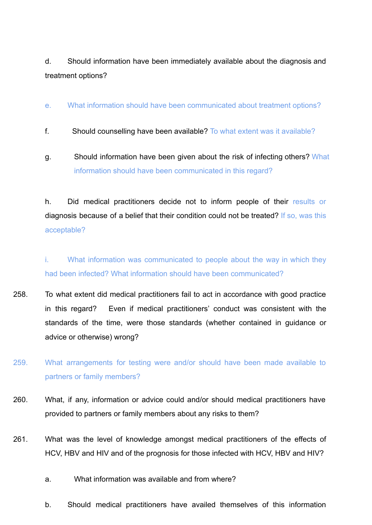d. Should information have been immediately available about the diagnosis and treatment options?

# e. What information should have been communicated about treatment options?

- f. Should counselling have been available? To what extent was it available?
- g. Should information have been given about the risk of infecting others? What information should have been communicated in this regard?

h. Did medical practitioners decide not to inform people of their results or diagnosis because of a belief that their condition could not be treated? If so, was this acceptable?

i. What information was communicated to people about the way in which they had been infected? What information should have been communicated?

- 258. To what extent did medical practitioners fail to act in accordance with good practice in this regard? Even if medical practitioners' conduct was consistent with the standards of the time, were those standards (whether contained in guidance or advice or otherwise) wrong?
- 259. What arrangements for testing were and/or should have been made available to partners or family members?
- 260. What, if any, information or advice could and/or should medical practitioners have provided to partners or family members about any risks to them?
- 261. What was the level of knowledge amongst medical practitioners of the effects of HCV, HBV and HIV and of the prognosis for those infected with HCV, HBV and HIV?
	- a. What information was available and from where?
	- b. Should medical practitioners have availed themselves of this information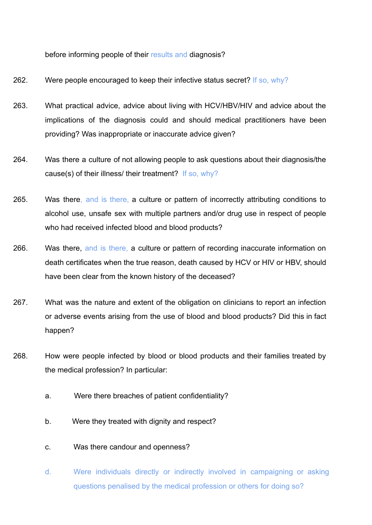before informing people of their results and diagnosis?

- 262. Were people encouraged to keep their infective status secret? If so, why?
- 263. What practical advice, advice about living with HCV/HBV/HIV and advice about the implications of the diagnosis could and should medical practitioners have been providing? Was inappropriate or inaccurate advice given?
- 264. Was there a culture of not allowing people to ask questions about their diagnosis/the cause(s) of their illness/ their treatment? If so, why?
- 265. Was there, and is there, a culture or pattern of incorrectly attributing conditions to alcohol use, unsafe sex with multiple partners and/or drug use in respect of people who had received infected blood and blood products?
- 266. Was there, and is there, a culture or pattern of recording inaccurate information on death certificates when the true reason, death caused by HCV or HIV or HBV, should have been clear from the known history of the deceased?
- 267. What was the nature and extent of the obligation on clinicians to report an infection or adverse events arising from the use of blood and blood products? Did this in fact happen?
- 268. How were people infected by blood or blood products and their families treated by the medical profession? In particular:
	- a. Were there breaches of patient confidentiality?
	- b. Were they treated with dignity and respect?
	- c. Was there candour and openness?
	- d. Were individuals directly or indirectly involved in campaigning or asking questions penalised by the medical profession or others for doing so?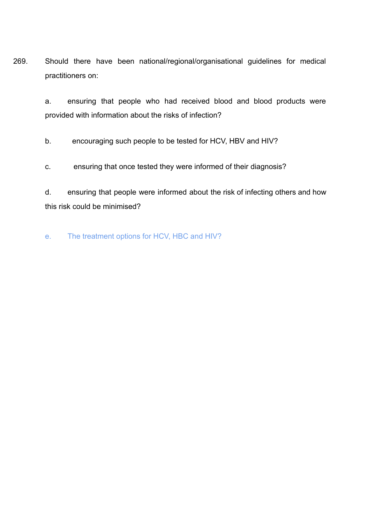269. Should there have been national/regional/organisational guidelines for medical practitioners on:

> a. ensuring that people who had received blood and blood products were provided with information about the risks of infection?

b. encouraging such people to be tested for HCV, HBV and HIV?

c. ensuring that once tested they were informed of their diagnosis?

d. ensuring that people were informed about the risk of infecting others and how this risk could be minimised?

e. The treatment options for HCV, HBC and HIV?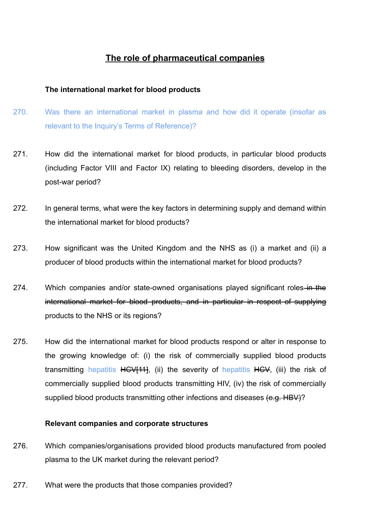# **The role of pharmaceutical companies**

# **The international market for blood products**

- 270. Was there an international market in plasma and how did it operate (insofar as relevant to the Inquiry's Terms of Reference)?
- 271. How did the international market for blood products, in particular blood products (including Factor VIII and Factor IX) relating to bleeding disorders, develop in the post-war period?
- 272. In general terms, what were the key factors in determining supply and demand within the international market for blood products?
- 273. How significant was the United Kingdom and the NHS as (i) a market and (ii) a producer of blood products within the international market for blood products?
- 274. Which companies and/or state-owned organisations played significant roles-in-the international market for blood products, and in particular in respect of supplying products to the NHS or its regions?
- 275. How did the international market for blood products respond or alter in response to the growing knowledge of: (i) the risk of commercially supplied blood products transmitting hepatitis HCV[11], (ii) the severity of hepatitis HCV, (iii) the risk of commercially supplied blood products transmitting HIV, (iv) the risk of commercially supplied blood products transmitting other infections and diseases (e.g. HBV)?

## **Relevant companies and corporate structures**

- 276. Which companies/organisations provided blood products manufactured from pooled plasma to the UK market during the relevant period?
- 277. What were the products that those companies provided?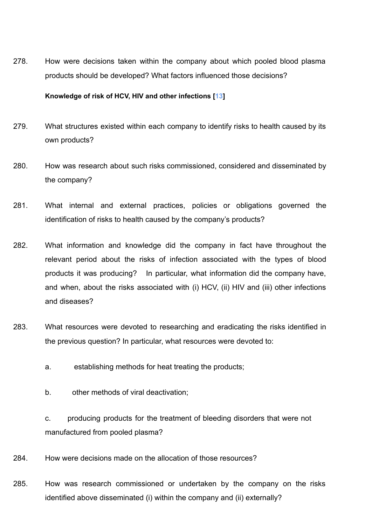278. How were decisions taken within the company about which pooled blood plasma products should be developed? What factors influenced those decisions?

#### **Knowledge of risk of HCV, HIV and other infections [13]**

- 279. What structures existed within each company to identify risks to health caused by its own products?
- 280. How was research about such risks commissioned, considered and disseminated by the company?
- 281. What internal and external practices, policies or obligations governed the identification of risks to health caused by the company's products?
- 282. What information and knowledge did the company in fact have throughout the relevant period about the risks of infection associated with the types of blood products it was producing? In particular, what information did the company have, and when, about the risks associated with (i) HCV, (ii) HIV and (iii) other infections and diseases?
- 283. What resources were devoted to researching and eradicating the risks identified in the previous question? In particular, what resources were devoted to:
	- a. establishing methods for heat treating the products;
	- b. other methods of viral deactivation;
	- c. producing products for the treatment of bleeding disorders that were not manufactured from pooled plasma?
- 284. How were decisions made on the allocation of those resources?
- 285. How was research commissioned or undertaken by the company on the risks identified above disseminated (i) within the company and (ii) externally?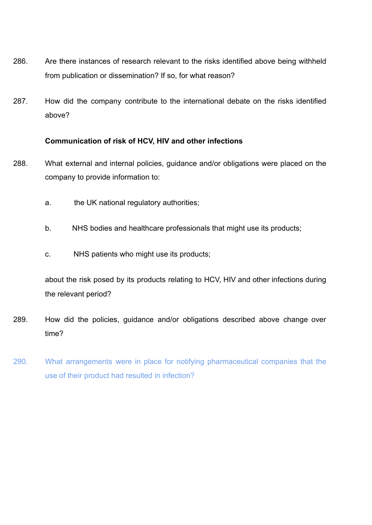- 286. Are there instances of research relevant to the risks identified above being withheld from publication or dissemination? If so, for what reason?
- 287. How did the company contribute to the international debate on the risks identified above?

# **Communication of risk of HCV, HIV and other infections**

- 288. What external and internal policies, guidance and/or obligations were placed on the company to provide information to:
	- a. the UK national regulatory authorities;
	- b. NHS bodies and healthcare professionals that might use its products;
	- c. NHS patients who might use its products;

about the risk posed by its products relating to HCV, HIV and other infections during the relevant period?

- 289. How did the policies, guidance and/or obligations described above change over time?
- 290. What arrangements were in place for notifying pharmaceutical companies that the use of their product had resulted in infection?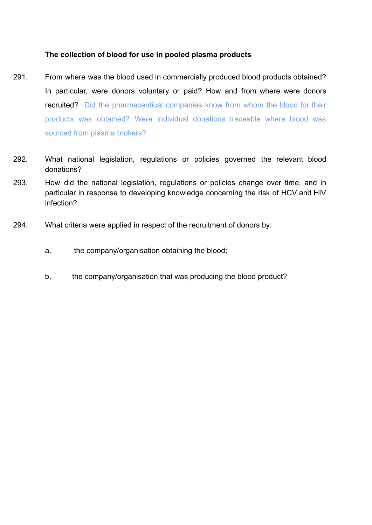# **The collection of blood for use in pooled plasma products**

- 291. From where was the blood used in commercially produced blood products obtained? In particular, were donors voluntary or paid? How and from where were donors recruited? Did the pharmaceutical companies know from whom the blood for their products was obtained? Were individual donations traceable where blood was sourced from plasma brokers?
- 292. What national legislation, regulations or policies governed the relevant blood donations?
- 293. How did the national legislation, regulations or policies change over time, and in particular in response to developing knowledge concerning the risk of HCV and HIV infection?
- 294. What criteria were applied in respect of the recruitment of donors by:
	- a. the company/organisation obtaining the blood;
	- b. the company/organisation that was producing the blood product?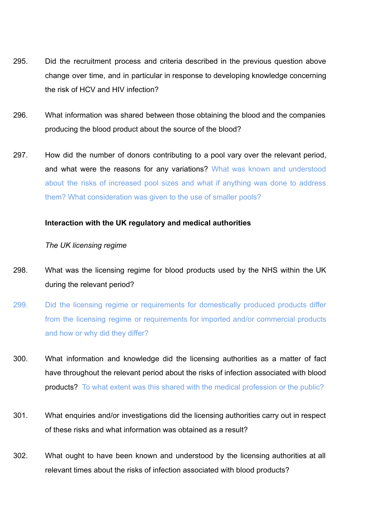- 295. Did the recruitment process and criteria described in the previous question above change over time, and in particular in response to developing knowledge concerning the risk of HCV and HIV infection?
- 296. What information was shared between those obtaining the blood and the companies producing the blood product about the source of the blood?
- 297. How did the number of donors contributing to a pool vary over the relevant period, and what were the reasons for any variations? What was known and understood about the risks of increased pool sizes and what if anything was done to address them? What consideration was given to the use of smaller pools?

# **Interaction with the UK regulatory and medical authorities**

## *The UK licensing regime*

- 298. What was the licensing regime for blood products used by the NHS within the UK during the relevant period?
- 299. Did the licensing regime or requirements for domestically produced products differ from the licensing regime or requirements for imported and/or commercial products and how or why did they differ?
- 300. What information and knowledge did the licensing authorities as a matter of fact have throughout the relevant period about the risks of infection associated with blood products? To what extent was this shared with the medical profession or the public?
- 301. What enquiries and/or investigations did the licensing authorities carry out in respect of these risks and what information was obtained as a result?
- 302. What ought to have been known and understood by the licensing authorities at all relevant times about the risks of infection associated with blood products?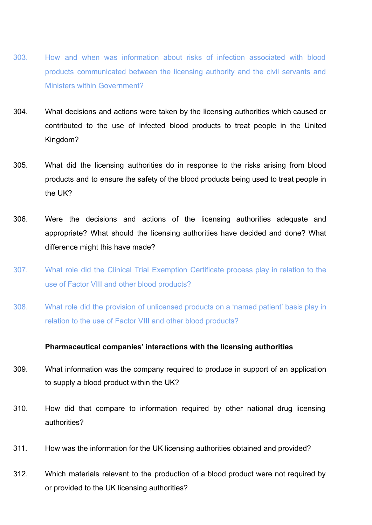- 303. How and when was information about risks of infection associated with blood products communicated between the licensing authority and the civil servants and Ministers within Government?
- 304. What decisions and actions were taken by the licensing authorities which caused or contributed to the use of infected blood products to treat people in the United Kingdom?
- 305. What did the licensing authorities do in response to the risks arising from blood products and to ensure the safety of the blood products being used to treat people in the UK?
- 306. Were the decisions and actions of the licensing authorities adequate and appropriate? What should the licensing authorities have decided and done? What difference might this have made?
- 307. What role did the Clinical Trial Exemption Certificate process play in relation to the use of Factor VIII and other blood products?
- 308. What role did the provision of unlicensed products on a 'named patient' basis play in relation to the use of Factor VIII and other blood products?

# **Pharmaceutical companies' interactions with the licensing authorities**

- 309. What information was the company required to produce in support of an application to supply a blood product within the UK?
- 310. How did that compare to information required by other national drug licensing authorities?
- 311. How was the information for the UK licensing authorities obtained and provided?
- 312. Which materials relevant to the production of a blood product were not required by or provided to the UK licensing authorities?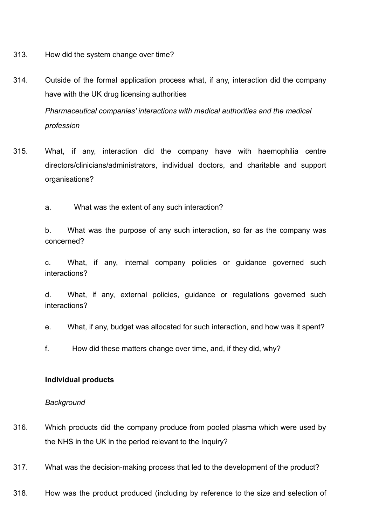- 313. How did the system change over time?
- 314. Outside of the formal application process what, if any, interaction did the company have with the UK drug licensing authorities

*Pharmaceutical companies' interactions with medical authorities and the medical profession*

- 315. What, if any, interaction did the company have with haemophilia centre directors/clinicians/administrators, individual doctors, and charitable and support organisations?
	- a. What was the extent of any such interaction?

b. What was the purpose of any such interaction, so far as the company was concerned?

c. What, if any, internal company policies or guidance governed such interactions?

d. What, if any, external policies, guidance or regulations governed such interactions?

- e. What, if any, budget was allocated for such interaction, and how was it spent?
- f. How did these matters change over time, and, if they did, why?

## **Individual products**

#### *Background*

- 316. Which products did the company produce from pooled plasma which were used by the NHS in the UK in the period relevant to the Inquiry?
- 317. What was the decision-making process that led to the development of the product?
- 318. How was the product produced (including by reference to the size and selection of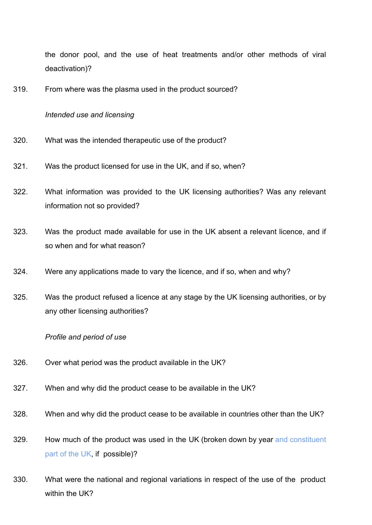the donor pool, and the use of heat treatments and/or other methods of viral deactivation)?

319. From where was the plasma used in the product sourced?

#### *Intended use and licensing*

- 320. What was the intended therapeutic use of the product?
- 321. Was the product licensed for use in the UK, and if so, when?
- 322. What information was provided to the UK licensing authorities? Was any relevant information not so provided?
- 323. Was the product made available for use in the UK absent a relevant licence, and if so when and for what reason?
- 324. Were any applications made to vary the licence, and if so, when and why?
- 325. Was the product refused a licence at any stage by the UK licensing authorities, or by any other licensing authorities?

#### *Profile and period of use*

- 326. Over what period was the product available in the UK?
- 327. When and why did the product cease to be available in the UK?
- 328. When and why did the product cease to be available in countries other than the UK?
- 329. How much of the product was used in the UK (broken down by year and constituent part of the UK, if possible)?
- 330. What were the national and regional variations in respect of the use of the product within the UK?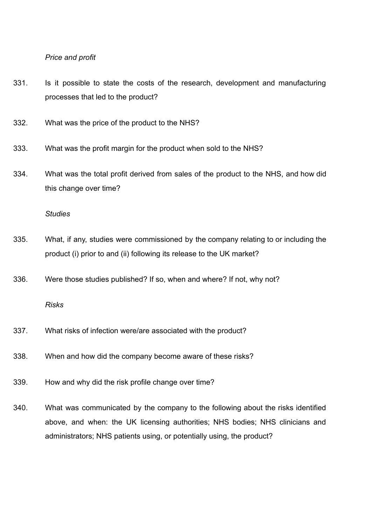#### *Price and profit*

- 331. Is it possible to state the costs of the research, development and manufacturing processes that led to the product?
- 332. What was the price of the product to the NHS?
- 333. What was the profit margin for the product when sold to the NHS?
- 334. What was the total profit derived from sales of the product to the NHS, and how did this change over time?

#### *Studies*

- 335. What, if any, studies were commissioned by the company relating to or including the product (i) prior to and (ii) following its release to the UK market?
- 336. Were those studies published? If so, when and where? If not, why not?

#### *Risks*

- 337. What risks of infection were/are associated with the product?
- 338. When and how did the company become aware of these risks?
- 339. How and why did the risk profile change over time?
- 340. What was communicated by the company to the following about the risks identified above, and when: the UK licensing authorities; NHS bodies; NHS clinicians and administrators; NHS patients using, or potentially using, the product?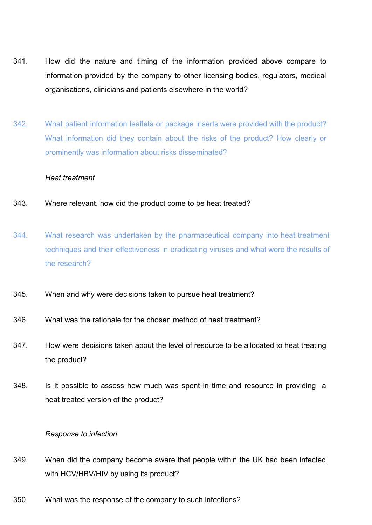- 341. How did the nature and timing of the information provided above compare to information provided by the company to other licensing bodies, regulators, medical organisations, clinicians and patients elsewhere in the world?
- 342. What patient information leaflets or package inserts were provided with the product? What information did they contain about the risks of the product? How clearly or prominently was information about risks disseminated?

## *Heat treatment*

- 343. Where relevant, how did the product come to be heat treated?
- 344. What research was undertaken by the pharmaceutical company into heat treatment techniques and their effectiveness in eradicating viruses and what were the results of the research?
- 345. When and why were decisions taken to pursue heat treatment?
- 346. What was the rationale for the chosen method of heat treatment?
- 347. How were decisions taken about the level of resource to be allocated to heat treating the product?
- 348. Is it possible to assess how much was spent in time and resource in providing a heat treated version of the product?

## *Response to infection*

- 349. When did the company become aware that people within the UK had been infected with HCV/HBV/HIV by using its product?
- 350. What was the response of the company to such infections?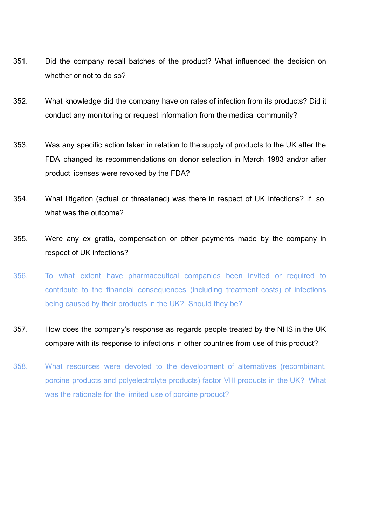- 351. Did the company recall batches of the product? What influenced the decision on whether or not to do so?
- 352. What knowledge did the company have on rates of infection from its products? Did it conduct any monitoring or request information from the medical community?
- 353. Was any specific action taken in relation to the supply of products to the UK after the FDA changed its recommendations on donor selection in March 1983 and/or after product licenses were revoked by the FDA?
- 354. What litigation (actual or threatened) was there in respect of UK infections? If so, what was the outcome?
- 355. Were any ex gratia, compensation or other payments made by the company in respect of UK infections?
- 356. To what extent have pharmaceutical companies been invited or required to contribute to the financial consequences (including treatment costs) of infections being caused by their products in the UK? Should they be?
- 357. How does the company's response as regards people treated by the NHS in the UK compare with its response to infections in other countries from use of this product?
- 358. What resources were devoted to the development of alternatives (recombinant, porcine products and polyelectrolyte products) factor VIII products in the UK? What was the rationale for the limited use of porcine product?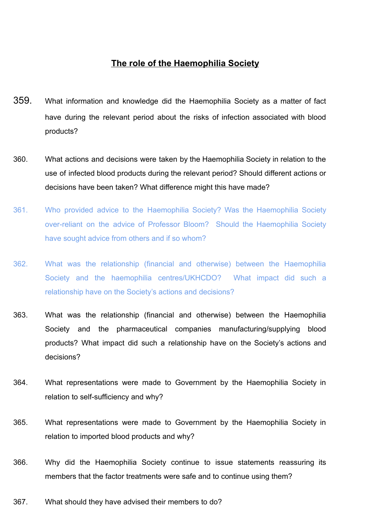# **The role of the Haemophilia Society**

- 359. What information and knowledge did the Haemophilia Society as a matter of fact have during the relevant period about the risks of infection associated with blood products?
- 360. What actions and decisions were taken by the Haemophilia Society in relation to the use of infected blood products during the relevant period? Should different actions or decisions have been taken? What difference might this have made?
- 361. Who provided advice to the Haemophilia Society? Was the Haemophilia Society over-reliant on the advice of Professor Bloom? Should the Haemophilia Society have sought advice from others and if so whom?
- 362. What was the relationship (financial and otherwise) between the Haemophilia Society and the haemophilia centres/UKHCDO? What impact did such a relationship have on the Society's actions and decisions?
- 363. What was the relationship (financial and otherwise) between the Haemophilia Society and the pharmaceutical companies manufacturing/supplying blood products? What impact did such a relationship have on the Society's actions and decisions?
- 364. What representations were made to Government by the Haemophilia Society in relation to self-sufficiency and why?
- 365. What representations were made to Government by the Haemophilia Society in relation to imported blood products and why?
- 366. Why did the Haemophilia Society continue to issue statements reassuring its members that the factor treatments were safe and to continue using them?
- 367. What should they have advised their members to do?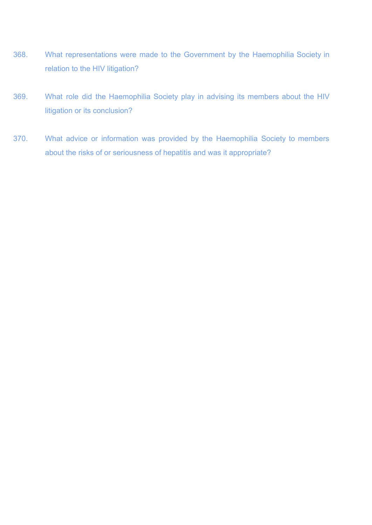- 368. What representations were made to the Government by the Haemophilia Society in relation to the HIV litigation?
- 369. What role did the Haemophilia Society play in advising its members about the HIV litigation or its conclusion?
- 370. What advice or information was provided by the Haemophilia Society to members about the risks of or seriousness of hepatitis and was it appropriate?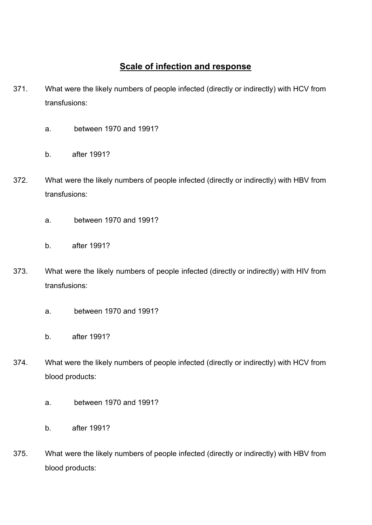# **Scale of infection and response**

- 371. What were the likely numbers of people infected (directly or indirectly) with HCV from transfusions:
	- a. between 1970 and 1991?
	- b. after 1991?
- 372. What were the likely numbers of people infected (directly or indirectly) with HBV from transfusions:
	- a. between 1970 and 1991?
	- b. after 1991?
- 373. What were the likely numbers of people infected (directly or indirectly) with HIV from transfusions:
	- a. between 1970 and 1991?
	- b. after 1991?
- 374. What were the likely numbers of people infected (directly or indirectly) with HCV from blood products:
	- a. between 1970 and 1991?
	- b. after 1991?
- 375. What were the likely numbers of people infected (directly or indirectly) with HBV from blood products: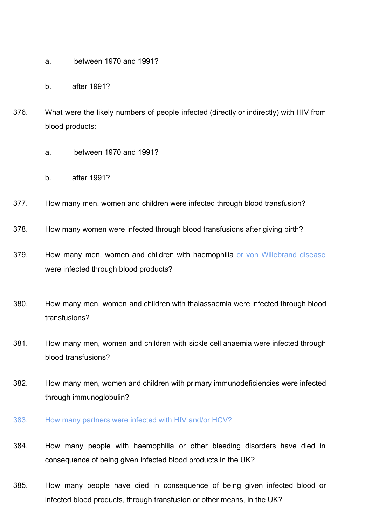- a. between 1970 and 1991?
- b. after 1991?
- 376. What were the likely numbers of people infected (directly or indirectly) with HIV from blood products:
	- a. between 1970 and 1991?
	- b. after 1991?
- 377. How many men, women and children were infected through blood transfusion?
- 378. How many women were infected through blood transfusions after giving birth?
- 379. How many men, women and children with haemophilia or von Willebrand disease were infected through blood products?
- 380. How many men, women and children with thalassaemia were infected through blood transfusions?
- 381. How many men, women and children with sickle cell anaemia were infected through blood transfusions?
- 382. How many men, women and children with primary immunodeficiencies were infected through immunoglobulin?
- 383. How many partners were infected with HIV and/or HCV?
- 384. How many people with haemophilia or other bleeding disorders have died in consequence of being given infected blood products in the UK?
- 385. How many people have died in consequence of being given infected blood or infected blood products, through transfusion or other means, in the UK?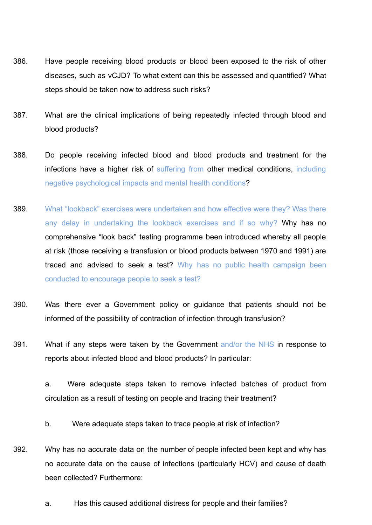- 386. Have people receiving blood products or blood been exposed to the risk of other diseases, such as vCJD? To what extent can this be assessed and quantified? What steps should be taken now to address such risks?
- 387. What are the clinical implications of being repeatedly infected through blood and blood products?
- 388. Do people receiving infected blood and blood products and treatment for the infections have a higher risk of suffering from other medical conditions, including negative psychological impacts and mental health conditions?
- 389. What "lookback" exercises were undertaken and how effective were they? Was there any delay in undertaking the lookback exercises and if so why? Why has no comprehensive "look back" testing programme been introduced whereby all people at risk (those receiving a transfusion or blood products between 1970 and 1991) are traced and advised to seek a test? Why has no public health campaign been conducted to encourage people to seek a test?
- 390. Was there ever a Government policy or guidance that patients should not be informed of the possibility of contraction of infection through transfusion?
- 391. What if any steps were taken by the Government and/or the NHS in response to reports about infected blood and blood products? In particular:

a. Were adequate steps taken to remove infected batches of product from circulation as a result of testing on people and tracing their treatment?

- b. Were adequate steps taken to trace people at risk of infection?
- 392. Why has no accurate data on the number of people infected been kept and why has no accurate data on the cause of infections (particularly HCV) and cause of death been collected? Furthermore:
	- a. Has this caused additional distress for people and their families?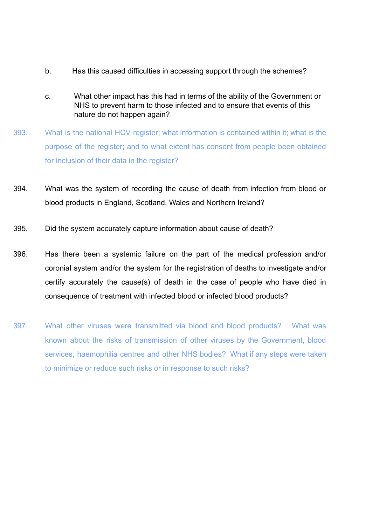- b. Has this caused difficulties in accessing support through the schemes?
- c. What other impact has this had in terms of the ability of the Government or NHS to prevent harm to those infected and to ensure that events of this nature do not happen again?
- 393. What is the national HCV register; what information is contained within it; what is the purpose of the register; and to what extent has consent from people been obtained for inclusion of their data in the register?
- 394. What was the system of recording the cause of death from infection from blood or blood products in England, Scotland, Wales and Northern Ireland?
- 395. Did the system accurately capture information about cause of death?
- 396. Has there been a systemic failure on the part of the medical profession and/or coronial system and/or the system for the registration of deaths to investigate and/or certify accurately the cause(s) of death in the case of people who have died in consequence of treatment with infected blood or infected blood products?
- 397. What other viruses were transmitted via blood and blood products? What was known about the risks of transmission of other viruses by the Government, blood services, haemophilia centres and other NHS bodies? What if any steps were taken to minimize or reduce such risks or in response to such risks?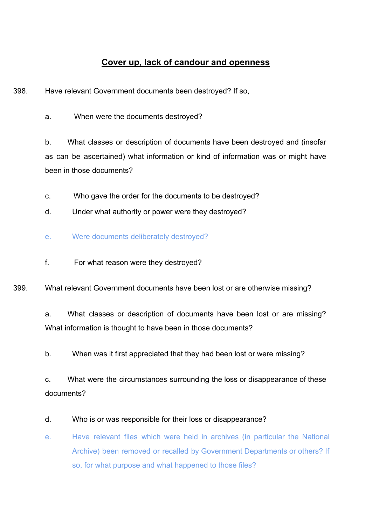# **Cover up, lack of candour and openness**

398. Have relevant Government documents been destroyed? If so,

a. When were the documents destroyed?

b. What classes or description of documents have been destroyed and (insofar as can be ascertained) what information or kind of information was or might have been in those documents?

- c. Who gave the order for the documents to be destroyed?
- d. Under what authority or power were they destroyed?
- e. Were documents deliberately destroyed?
- f. For what reason were they destroyed?

399. What relevant Government documents have been lost or are otherwise missing?

a. What classes or description of documents have been lost or are missing? What information is thought to have been in those documents?

b. When was it first appreciated that they had been lost or were missing?

c. What were the circumstances surrounding the loss or disappearance of these documents?

# d. Who is or was responsible for their loss or disappearance?

e. Have relevant files which were held in archives (in particular the National Archive) been removed or recalled by Government Departments or others? If so, for what purpose and what happened to those files?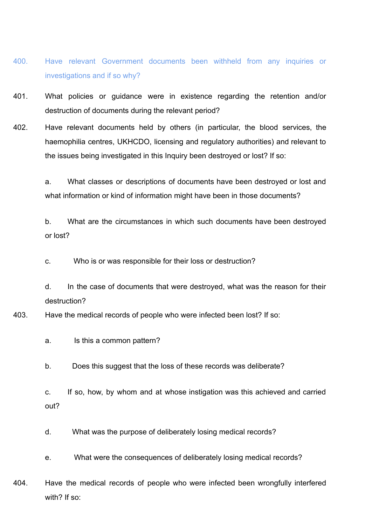- 400. Have relevant Government documents been withheld from any inquiries or investigations and if so why?
- 401. What policies or guidance were in existence regarding the retention and/or destruction of documents during the relevant period?
- 402. Have relevant documents held by others (in particular, the blood services, the haemophilia centres, UKHCDO, licensing and regulatory authorities) and relevant to the issues being investigated in this Inquiry been destroyed or lost? If so:

a. What classes or descriptions of documents have been destroyed or lost and what information or kind of information might have been in those documents?

b. What are the circumstances in which such documents have been destroyed or lost?

c. Who is or was responsible for their loss or destruction?

d. In the case of documents that were destroyed, what was the reason for their destruction?

# 403. Have the medical records of people who were infected been lost? If so:

a. Is this a common pattern?

b. Does this suggest that the loss of these records was deliberate?

c. If so, how, by whom and at whose instigation was this achieved and carried out?

- d. What was the purpose of deliberately losing medical records?
- e. What were the consequences of deliberately losing medical records?
- 404. Have the medical records of people who were infected been wrongfully interfered with? If so: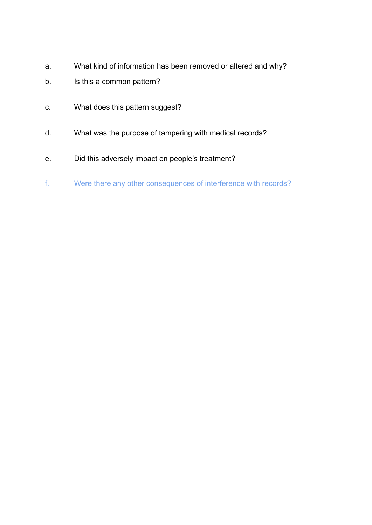- a. What kind of information has been removed or altered and why?
- b. Is this a common pattern?
- c. What does this pattern suggest?
- d. What was the purpose of tampering with medical records?
- e. Did this adversely impact on people's treatment?
- f. Were there any other consequences of interference with records?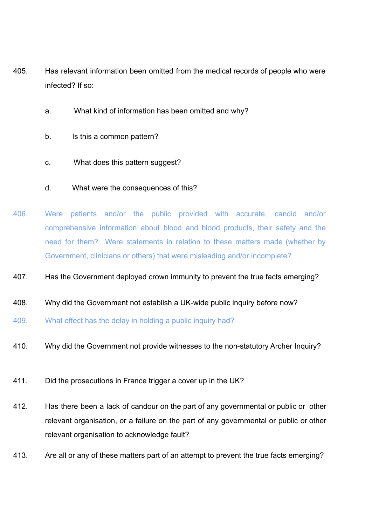- 405. Has relevant information been omitted from the medical records of people who were infected? If so:
	- a. What kind of information has been omitted and why?
	- b. Is this a common pattern?
	- c. What does this pattern suggest?
	- d. What were the consequences of this?
- 406. Were patients and/or the public provided with accurate, candid and/or comprehensive information about blood and blood products, their safety and the need for them? Were statements in relation to these matters made (whether by Government, clinicians or others) that were misleading and/or incomplete?
- 407. Has the Government deployed crown immunity to prevent the true facts emerging?
- 408. Why did the Government not establish a UK-wide public inquiry before now?
- 409. What effect has the delay in holding a public inquiry had?
- 410. Why did the Government not provide witnesses to the non-statutory Archer Inquiry?
- 411. Did the prosecutions in France trigger a cover up in the UK?
- 412. Has there been a lack of candour on the part of any governmental or public or other relevant organisation, or a failure on the part of any governmental or public or other relevant organisation to acknowledge fault?
- 413. Are all or any of these matters part of an attempt to prevent the true facts emerging?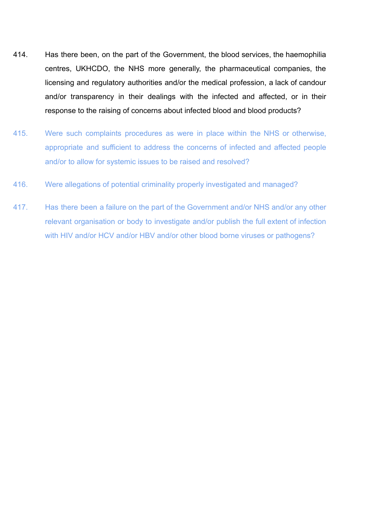- 414. Has there been, on the part of the Government, the blood services, the haemophilia centres, UKHCDO, the NHS more generally, the pharmaceutical companies, the licensing and regulatory authorities and/or the medical profession, a lack of candour and/or transparency in their dealings with the infected and affected, or in their response to the raising of concerns about infected blood and blood products?
- 415. Were such complaints procedures as were in place within the NHS or otherwise, appropriate and sufficient to address the concerns of infected and affected people and/or to allow for systemic issues to be raised and resolved?
- 416. Were allegations of potential criminality properly investigated and managed?
- 417. Has there been a failure on the part of the Government and/or NHS and/or any other relevant organisation or body to investigate and/or publish the full extent of infection with HIV and/or HCV and/or HBV and/or other blood borne viruses or pathogens?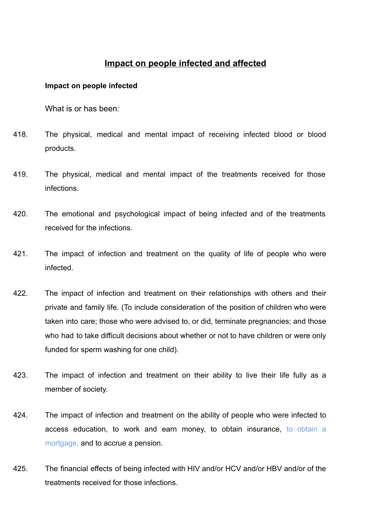# **Impact on people infected and affected**

## **Impact on people infected**

What is or has been:

- 418. The physical, medical and mental impact of receiving infected blood or blood products.
- 419. The physical, medical and mental impact of the treatments received for those infections.
- 420. The emotional and psychological impact of being infected and of the treatments received for the infections.
- 421. The impact of infection and treatment on the quality of life of people who were infected.
- 422. The impact of infection and treatment on their relationships with others and their private and family life. (To include consideration of the position of children who were taken into care; those who were advised to, or did, terminate pregnancies; and those who had to take difficult decisions about whether or not to have children or were only funded for sperm washing for one child).
- 423. The impact of infection and treatment on their ability to live their life fully as a member of society.
- 424. The impact of infection and treatment on the ability of people who were infected to access education, to work and earn money, to obtain insurance, to obtain a mortgage, and to accrue a pension.
- 425. The financial effects of being infected with HIV and/or HCV and/or HBV and/or of the treatments received for those infections.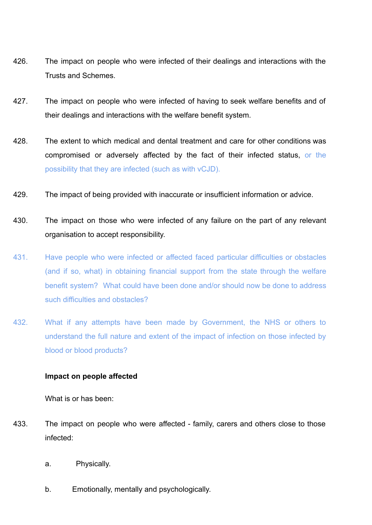- 426. The impact on people who were infected of their dealings and interactions with the Trusts and Schemes.
- 427. The impact on people who were infected of having to seek welfare benefits and of their dealings and interactions with the welfare benefit system.
- 428. The extent to which medical and dental treatment and care for other conditions was compromised or adversely affected by the fact of their infected status, or the possibility that they are infected (such as with vCJD).
- 429. The impact of being provided with inaccurate or insufficient information or advice.
- 430. The impact on those who were infected of any failure on the part of any relevant organisation to accept responsibility.
- 431. Have people who were infected or affected faced particular difficulties or obstacles (and if so, what) in obtaining financial support from the state through the welfare benefit system? What could have been done and/or should now be done to address such difficulties and obstacles?
- 432. What if any attempts have been made by Government, the NHS or others to understand the full nature and extent of the impact of infection on those infected by blood or blood products?

## **Impact on people affected**

What is or has been:

- 433. The impact on people who were affected family, carers and others close to those infected:
	- a. Physically.
	- b. Emotionally, mentally and psychologically.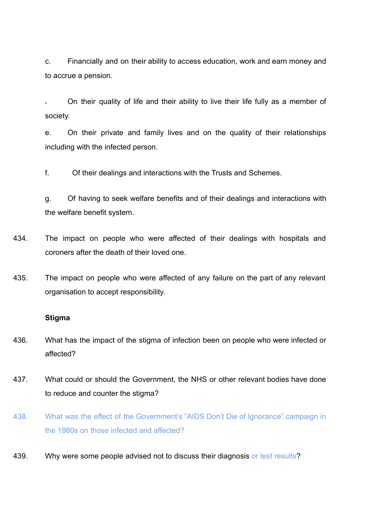c. Financially and on their ability to access education, work and earn money and to accrue a pension.

d. On their quality of life and their ability to live their life fully as a member of society.

e. On their private and family lives and on the quality of their relationships including with the infected person.

f. Of their dealings and interactions with the Trusts and Schemes.

g. Of having to seek welfare benefits and of their dealings and interactions with the welfare benefit system.

- 434. The impact on people who were affected of their dealings with hospitals and coroners after the death of their loved one.
- 435. The impact on people who were affected of any failure on the part of any relevant organisation to accept responsibility.

#### **Stigma**

- 436. What has the impact of the stigma of infection been on people who were infected or affected?
- 437. What could or should the Government, the NHS or other relevant bodies have done to reduce and counter the stigma?
- 438. What was the effect of the Government's "AIDS Don't Die of Ignorance" campaign in the 1980s on those infected and affected?
- 439. Why were some people advised not to discuss their diagnosis or test results?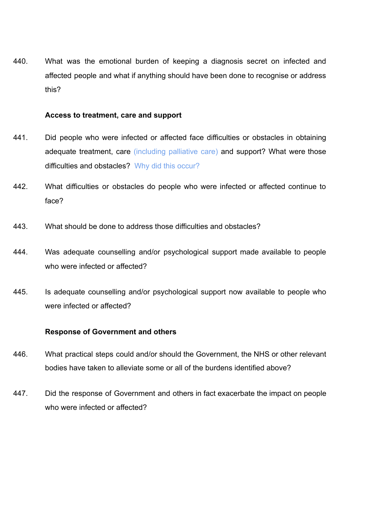440. What was the emotional burden of keeping a diagnosis secret on infected and affected people and what if anything should have been done to recognise or address this?

## **Access to treatment, care and support**

- 441. Did people who were infected or affected face difficulties or obstacles in obtaining adequate treatment, care *(including palliative care)* and support? What were those difficulties and obstacles? Why did this occur?
- 442. What difficulties or obstacles do people who were infected or affected continue to face?
- 443. What should be done to address those difficulties and obstacles?
- 444. Was adequate counselling and/or psychological support made available to people who were infected or affected?
- 445. Is adequate counselling and/or psychological support now available to people who were infected or affected?

## **Response of Government and others**

- 446. What practical steps could and/or should the Government, the NHS or other relevant bodies have taken to alleviate some or all of the burdens identified above?
- 447. Did the response of Government and others in fact exacerbate the impact on people who were infected or affected?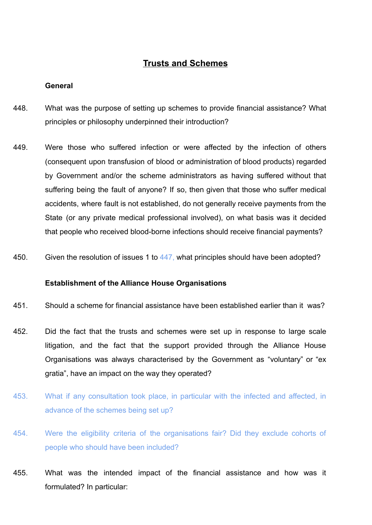# **Trusts and Schemes**

## **General**

- 448. What was the purpose of setting up schemes to provide financial assistance? What principles or philosophy underpinned their introduction?
- 449. Were those who suffered infection or were affected by the infection of others (consequent upon transfusion of blood or administration of blood products) regarded by Government and/or the scheme administrators as having suffered without that suffering being the fault of anyone? If so, then given that those who suffer medical accidents, where fault is not established, do not generally receive payments from the State (or any private medical professional involved), on what basis was it decided that people who received blood-borne infections should receive financial payments?
- 450. Given the resolution of issues 1 to 447, what principles should have been adopted?

# **Establishment of the Alliance House Organisations**

- 451. Should a scheme for financial assistance have been established earlier than it was?
- 452. Did the fact that the trusts and schemes were set up in response to large scale litigation, and the fact that the support provided through the Alliance House Organisations was always characterised by the Government as "voluntary" or "ex gratia", have an impact on the way they operated?
- 453. What if any consultation took place, in particular with the infected and affected, in advance of the schemes being set up?
- 454. Were the eligibility criteria of the organisations fair? Did they exclude cohorts of people who should have been included?
- 455. What was the intended impact of the financial assistance and how was it formulated? In particular: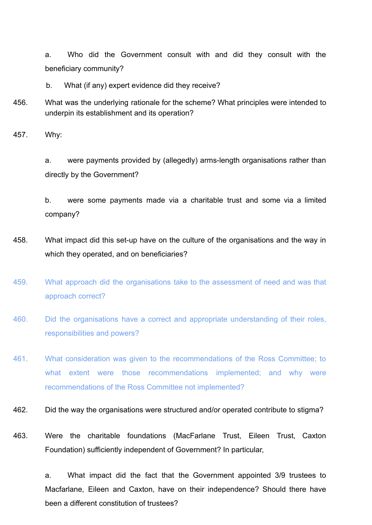a. Who did the Government consult with and did they consult with the beneficiary community?

b. What (if any) expert evidence did they receive?

456. What was the underlying rationale for the scheme? What principles were intended to underpin its establishment and its operation?

457. Why:

a. were payments provided by (allegedly) arms-length organisations rather than directly by the Government?

b. were some payments made via a charitable trust and some via a limited company?

- 458. What impact did this set-up have on the culture of the organisations and the way in which they operated, and on beneficiaries?
- 459. What approach did the organisations take to the assessment of need and was that approach correct?
- 460. Did the organisations have a correct and appropriate understanding of their roles, responsibilities and powers?
- 461. What consideration was given to the recommendations of the Ross Committee; to what extent were those recommendations implemented; and why were recommendations of the Ross Committee not implemented?
- 462. Did the way the organisations were structured and/or operated contribute to stigma?
- 463. Were the charitable foundations (MacFarlane Trust, Eileen Trust, Caxton Foundation) sufficiently independent of Government? In particular,

a. What impact did the fact that the Government appointed 3/9 trustees to Macfarlane, Eileen and Caxton, have on their independence? Should there have been a different constitution of trustees?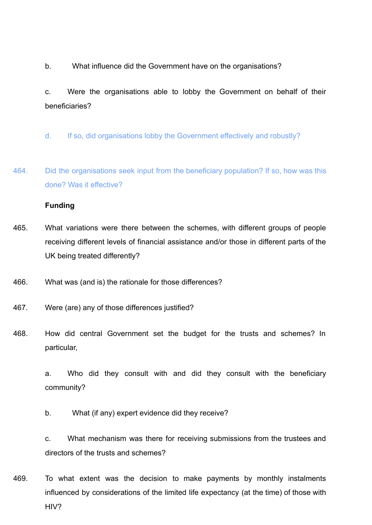b. What influence did the Government have on the organisations?

c. Were the organisations able to lobby the Government on behalf of their beneficiaries?

- d. If so, did organisations lobby the Government effectively and robustly?
- 464. Did the organisations seek input from the beneficiary population? If so, how was this done? Was it effective?

# **Funding**

- 465. What variations were there between the schemes, with different groups of people receiving different levels of financial assistance and/or those in different parts of the UK being treated differently?
- 466. What was (and is) the rationale for those differences?
- 467. Were (are) any of those differences justified?
- 468. How did central Government set the budget for the trusts and schemes? In particular,

a. Who did they consult with and did they consult with the beneficiary community?

b. What (if any) expert evidence did they receive?

c. What mechanism was there for receiving submissions from the trustees and directors of the trusts and schemes?

469. To what extent was the decision to make payments by monthly instalments influenced by considerations of the limited life expectancy (at the time) of those with HIV?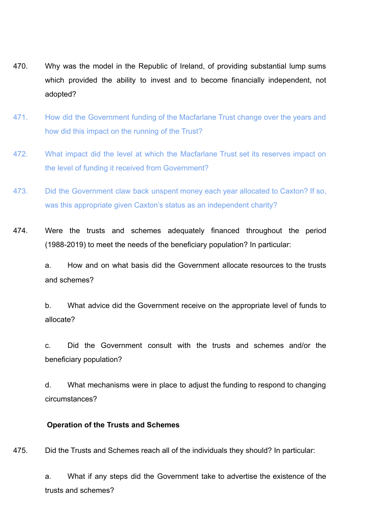- 470. Why was the model in the Republic of Ireland, of providing substantial lump sums which provided the ability to invest and to become financially independent, not adopted?
- 471. How did the Government funding of the Macfarlane Trust change over the years and how did this impact on the running of the Trust?
- 472. What impact did the level at which the Macfarlane Trust set its reserves impact on the level of funding it received from Government?
- 473. Did the Government claw back unspent money each year allocated to Caxton? If so, was this appropriate given Caxton's status as an independent charity?
- 474. Were the trusts and schemes adequately financed throughout the period (1988-2019) to meet the needs of the beneficiary population? In particular:

a. How and on what basis did the Government allocate resources to the trusts and schemes?

b. What advice did the Government receive on the appropriate level of funds to allocate?

c. Did the Government consult with the trusts and schemes and/or the beneficiary population?

d. What mechanisms were in place to adjust the funding to respond to changing circumstances?

### **Operation of the Trusts and Schemes**

475. Did the Trusts and Schemes reach all of the individuals they should? In particular:

a. What if any steps did the Government take to advertise the existence of the trusts and schemes?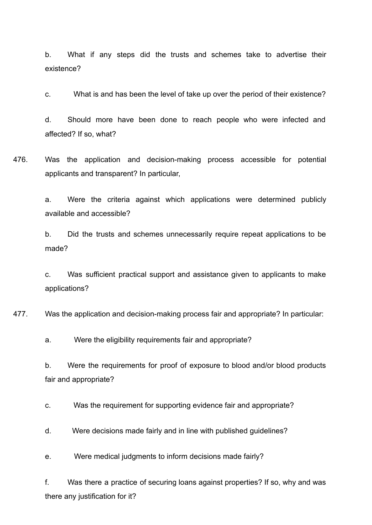b. What if any steps did the trusts and schemes take to advertise their existence?

c. What is and has been the level of take up over the period of their existence?

d. Should more have been done to reach people who were infected and affected? If so, what?

476. Was the application and decision-making process accessible for potential applicants and transparent? In particular,

> a. Were the criteria against which applications were determined publicly available and accessible?

> b. Did the trusts and schemes unnecessarily require repeat applications to be made?

> c. Was sufficient practical support and assistance given to applicants to make applications?

477. Was the application and decision-making process fair and appropriate? In particular:

a. Were the eligibility requirements fair and appropriate?

b. Were the requirements for proof of exposure to blood and/or blood products fair and appropriate?

c. Was the requirement for supporting evidence fair and appropriate?

d. Were decisions made fairly and in line with published guidelines?

e. Were medical judgments to inform decisions made fairly?

f. Was there a practice of securing loans against properties? If so, why and was there any justification for it?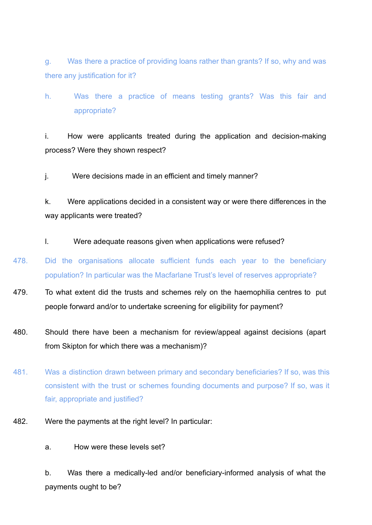g. Was there a practice of providing loans rather than grants? If so, why and was there any justification for it?

h. Was there a practice of means testing grants? Was this fair and appropriate?

i. How were applicants treated during the application and decision-making process? Were they shown respect?

j. Were decisions made in an efficient and timely manner?

k. Were applications decided in a consistent way or were there differences in the way applicants were treated?

l. Were adequate reasons given when applications were refused?

- 478. Did the organisations allocate sufficient funds each year to the beneficiary population? In particular was the Macfarlane Trust's level of reserves appropriate?
- 479. To what extent did the trusts and schemes rely on the haemophilia centres to put people forward and/or to undertake screening for eligibility for payment?
- 480. Should there have been a mechanism for review/appeal against decisions (apart from Skipton for which there was a mechanism)?
- 481. Was a distinction drawn between primary and secondary beneficiaries? If so, was this consistent with the trust or schemes founding documents and purpose? If so, was it fair, appropriate and justified?
- 482. Were the payments at the right level? In particular:
	- a. How were these levels set?

b. Was there a medically-led and/or beneficiary-informed analysis of what the payments ought to be?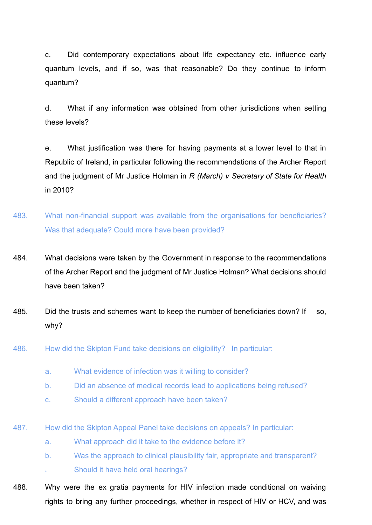c. Did contemporary expectations about life expectancy etc. influence early quantum levels, and if so, was that reasonable? Do they continue to inform quantum?

d. What if any information was obtained from other jurisdictions when setting these levels?

e. What justification was there for having payments at a lower level to that in Republic of Ireland, in particular following the recommendations of the Archer Report and the judgment of Mr Justice Holman in *R (March) v Secretary of State for Health* in 2010?

- 483. What non-financial support was available from the organisations for beneficiaries? Was that adequate? Could more have been provided?
- 484. What decisions were taken by the Government in response to the recommendations of the Archer Report and the judgment of Mr Justice Holman? What decisions should have been taken?
- 485. Did the trusts and schemes want to keep the number of beneficiaries down? If so, why?
- 486. How did the Skipton Fund take decisions on eligibility? In particular:
	- a. What evidence of infection was it willing to consider?
	- b. Did an absence of medical records lead to applications being refused?
	- c. Should a different approach have been taken?
- 487. How did the Skipton Appeal Panel take decisions on appeals? In particular:
	- a. What approach did it take to the evidence before it?
	- b. Was the approach to clinical plausibility fair, appropriate and transparent? Should it have held oral hearings?
- 488. Why were the ex gratia payments for HIV infection made conditional on waiving rights to bring any further proceedings, whether in respect of HIV or HCV, and was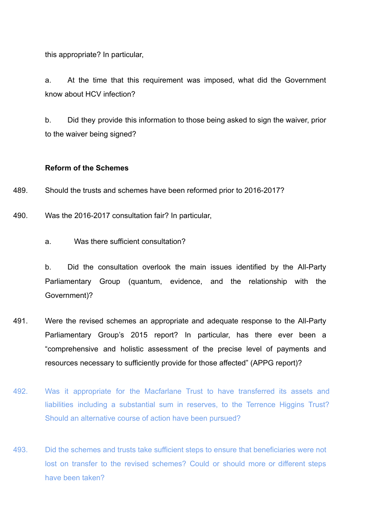this appropriate? In particular,

a. At the time that this requirement was imposed, what did the Government know about HCV infection?

b. Did they provide this information to those being asked to sign the waiver, prior to the waiver being signed?

### **Reform of the Schemes**

489. Should the trusts and schemes have been reformed prior to 2016-2017?

490. Was the 2016-2017 consultation fair? In particular,

a. Was there sufficient consultation?

b. Did the consultation overlook the main issues identified by the All-Party Parliamentary Group (quantum, evidence, and the relationship with the Government)?

- 491. Were the revised schemes an appropriate and adequate response to the All-Party Parliamentary Group's 2015 report? In particular, has there ever been a "comprehensive and holistic assessment of the precise level of payments and resources necessary to sufficiently provide for those affected" (APPG report)?
- 492. Was it appropriate for the Macfarlane Trust to have transferred its assets and liabilities including a substantial sum in reserves, to the Terrence Higgins Trust? Should an alternative course of action have been pursued?
- 493. Did the schemes and trusts take sufficient steps to ensure that beneficiaries were not lost on transfer to the revised schemes? Could or should more or different steps have been taken?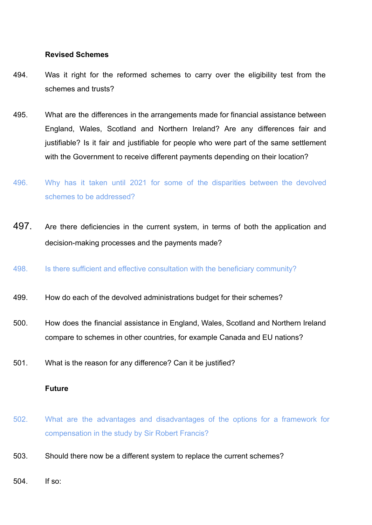## **Revised Schemes**

- 494. Was it right for the reformed schemes to carry over the eligibility test from the schemes and trusts?
- 495. What are the differences in the arrangements made for financial assistance between England, Wales, Scotland and Northern Ireland? Are any differences fair and justifiable? Is it fair and justifiable for people who were part of the same settlement with the Government to receive different payments depending on their location?
- 496. Why has it taken until 2021 for some of the disparities between the devolved schemes to be addressed?
- 497. Are there deficiencies in the current system, in terms of both the application and decision-making processes and the payments made?
- 498. Is there sufficient and effective consultation with the beneficiary community?
- 499. How do each of the devolved administrations budget for their schemes?
- 500. How does the financial assistance in England, Wales, Scotland and Northern Ireland compare to schemes in other countries, for example Canada and EU nations?
- 501. What is the reason for any difference? Can it be justified?

### **Future**

- 502. What are the advantages and disadvantages of the options for a framework for compensation in the study by Sir Robert Francis?
- 503. Should there now be a different system to replace the current schemes?
- 504. If so: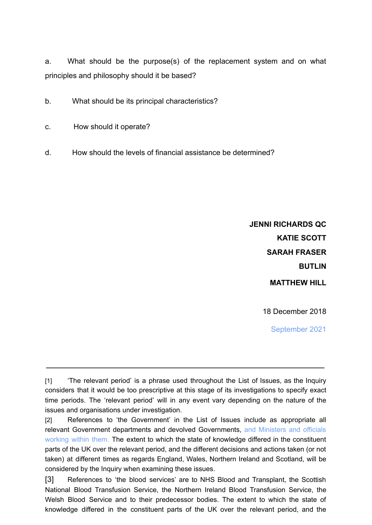a. What should be the purpose(s) of the replacement system and on what principles and philosophy should it be based?

- b. What should be its principal characteristics?
- c. How should it operate?
- d. How should the levels of financial assistance be determined?

**JENNI RICHARDS QC KATIE SCOTT SARAH FRASER BUTLIN MATTHEW HILL**

18 December 2018

September 2021

<sup>[1]</sup> 'The relevant period' is a phrase used throughout the List of Issues, as the Inquiry considers that it would be too prescriptive at this stage of its investigations to specify exact time periods. The 'relevant period' will in any event vary depending on the nature of the issues and organisations under investigation.

<sup>[2]</sup> References to 'the Government' in the List of Issues include as appropriate all relevant Government departments and devolved Governments, and Ministers and officials working within them. The extent to which the state of knowledge differed in the constituent parts of the UK over the relevant period, and the different decisions and actions taken (or not taken) at different times as regards England, Wales, Northern Ireland and Scotland, will be considered by the Inquiry when examining these issues.

<sup>[3]</sup> References to 'the blood services' are to NHS Blood and Transplant, the Scottish National Blood Transfusion Service, the Northern Ireland Blood Transfusion Service, the Welsh Blood Service and to their predecessor bodies. The extent to which the state of knowledge differed in the constituent parts of the UK over the relevant period, and the